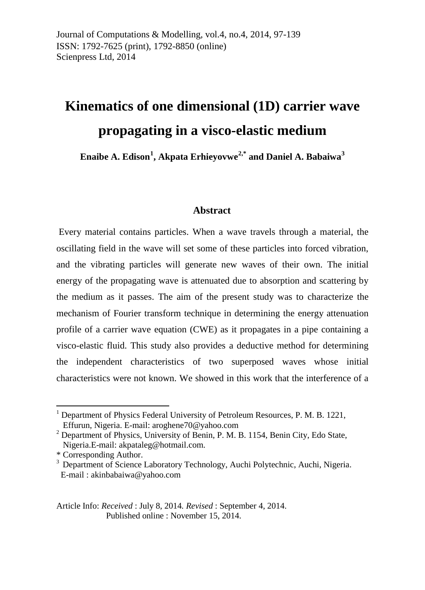# **Kinematics of one dimensional (1D) carrier wave propagating in a visco-elastic medium**

**Enaibe A. Edison[1](#page-42-0) , Akpata Erhieyovwe[2](#page-0-0),\* and Daniel A. Babaiwa[3](#page-0-1)**

#### **Abstract**

Every material contains particles. When a wave travels through a material, the oscillating field in the wave will set some of these particles into forced vibration, and the vibrating particles will generate new waves of their own. The initial energy of the propagating wave is attenuated due to absorption and scattering by the medium as it passes. The aim of the present study was to characterize the mechanism of Fourier transform technique in determining the energy attenuation profile of a carrier wave equation (CWE) as it propagates in a pipe containing a visco-elastic fluid. This study also provides a deductive method for determining the independent characteristics of two superposed waves whose initial characteristics were not known. We showed in this work that the interference of a

**.** 

Article Info: *Received* : July 8, 2014*. Revised* : September 4, 2014. Published online : November 15, 2014.

 $1$  Department of Physics Federal University of Petroleum Resources, P. M. B. 1221, Effurun, Nigeria. E-mail: [aroghene70@yahoo.com](mailto:aroghene70@yahoo.com)

<span id="page-0-0"></span><sup>&</sup>lt;sup>2</sup> Department of Physics, University of Benin, P. M. B. 1154, Benin City, Edo State, Nigeria.E-mail[: akpataleg@hotmail.com.](mailto:akpataleg@hotmail.com)

<sup>\*</sup> Corresponding Author.

<span id="page-0-1"></span><sup>&</sup>lt;sup>3</sup> Department of Science Laboratory Technology, Auchi Polytechnic, Auchi, Nigeria. E-mail : [akinbabaiwa@yahoo.com](mailto:akinbabaiwa@yahoo.com)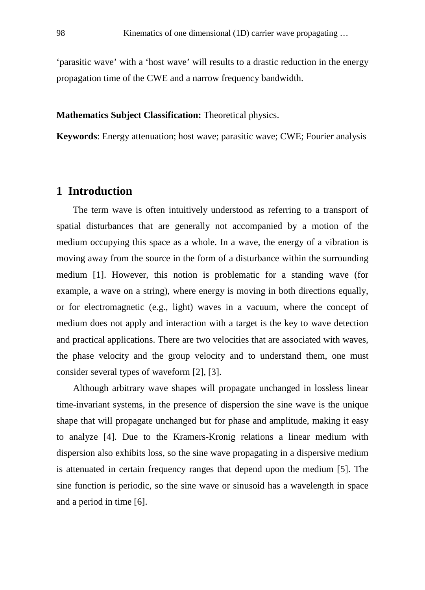'parasitic wave' with a 'host wave' will results to a drastic reduction in the energy propagation time of the CWE and a narrow frequency bandwidth.

#### **Mathematics Subject Classification:** Theoretical physics.

**Keywords**: Energy attenuation; host wave; parasitic wave; CWE; Fourier analysis

#### **1 Introduction**

The term wave is often intuitively understood as referring to a transport of spatial disturbances that are generally not accompanied by a motion of the medium occupying this space as a whole. In a wave, the energy of a vibration is moving away from the source in the form of a disturbance within the surrounding medium [1]. However, this notion is problematic for a standing wave (for example, a wave on a string), where energy is moving in both directions equally, or for electromagnetic (e.g., light) waves in a vacuum, where the concept of medium does not apply and interaction with a target is the key to wave detection and practical applications. There are two velocities that are associated with waves, the phase velocity and the group velocity and to understand them, one must consider several types of waveform [2], [3].

Although arbitrary wave shapes will propagate unchanged in lossless linear time-invariant systems, in the presence of dispersion the sine wave is the unique shape that will propagate unchanged but for phase and amplitude, making it easy to analyze [4]. Due to the Kramers-Kronig relations a linear medium with dispersion also exhibits loss, so the sine wave propagating in a dispersive medium is attenuated in certain frequency ranges that depend upon the medium [5]. The sine function is periodic, so the sine wave or sinusoid has a wavelength in space and a period in time [6].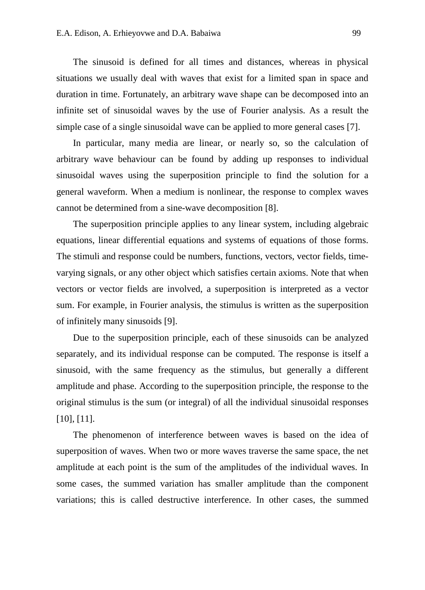The sinusoid is defined for all times and distances, whereas in physical situations we usually deal with waves that exist for a limited span in space and duration in time. Fortunately, an arbitrary wave shape can be decomposed into an infinite set of sinusoidal waves by the use of Fourier analysis. As a result the simple case of a single sinusoidal wave can be applied to more general cases [7].

In particular, many media are linear, or nearly so, so the calculation of arbitrary wave behaviour can be found by adding up responses to individual sinusoidal waves using the superposition principle to find the solution for a general waveform. When a medium is nonlinear, the response to complex waves cannot be determined from a sine-wave decomposition [8].

The superposition principle applies to any linear system, including algebraic equations, linear differential equations and systems of equations of those forms. The stimuli and response could be numbers, functions, vectors, vector fields, timevarying signals, or any other object which satisfies certain axioms. Note that when vectors or vector fields are involved, a superposition is interpreted as a vector sum. For example, in Fourier analysis, the stimulus is written as the superposition of infinitely many sinusoids [9].

Due to the superposition principle, each of these sinusoids can be analyzed separately, and its individual response can be computed. The response is itself a sinusoid, with the same frequency as the stimulus, but generally a different amplitude and phase. According to the superposition principle, the response to the original stimulus is the sum (or integral) of all the individual sinusoidal responses [10], [11].

The phenomenon of interference between waves is based on the idea of superposition of waves. When two or more waves traverse the same space, the net amplitude at each point is the sum of the amplitudes of the individual waves. In some cases, the summed variation has smaller amplitude than the component variations; this is called destructive interference. In other cases, the summed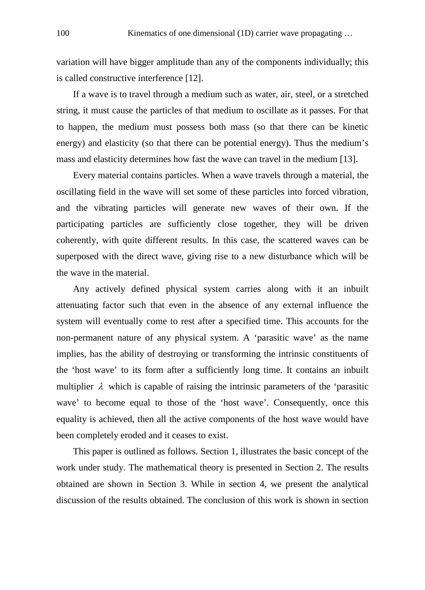variation will have bigger amplitude than any of the components individually; this is called constructive interference [12].

If a wave is to travel through a medium such as water, air, steel, or a stretched string, it must cause the particles of that medium to oscillate as it passes. For that to happen, the medium must possess both mass (so that there can be kinetic energy) and elasticity (so that there can be potential energy). Thus the medium's mass and elasticity determines how fast the wave can travel in the medium [13].

Every material contains particles. When a wave travels through a material, the oscillating field in the wave will set some of these particles into forced vibration, and the vibrating particles will generate new waves of their own. If the participating particles are sufficiently close together, they will be driven coherently, with quite different results. In this case, the scattered waves can be superposed with the direct wave, giving rise to a new disturbance which will be the wave in the material.

Any actively defined physical system carries along with it an inbuilt attenuating factor such that even in the absence of any external influence the system will eventually come to rest after a specified time. This accounts for the non-permanent nature of any physical system. A 'parasitic wave' as the name implies, has the ability of destroying or transforming the intrinsic constituents of the 'host wave' to its form after a sufficiently long time. It contains an inbuilt multiplier  $\lambda$  which is capable of raising the intrinsic parameters of the 'parasitic wave' to become equal to those of the 'host wave'. Consequently, once this equality is achieved, then all the active components of the host wave would have been completely eroded and it ceases to exist.

This paper is outlined as follows. Section 1, illustrates the basic concept of the work under study. The mathematical theory is presented in Section 2. The results obtained are shown in Section 3. While in section 4, we present the analytical discussion of the results obtained. The conclusion of this work is shown in section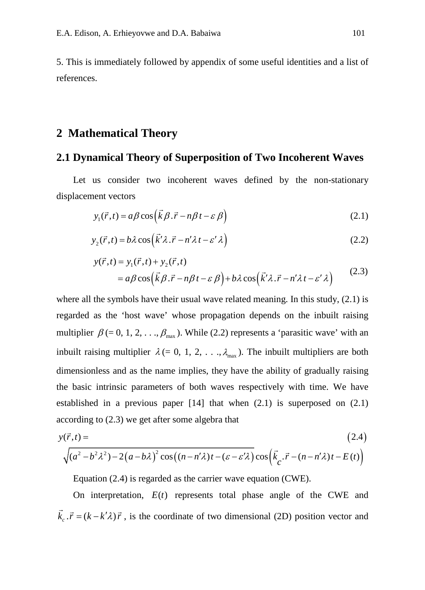5. This is immediately followed by appendix of some useful identities and a list of references.

### **2 Mathematical Theory**

#### **2.1 Dynamical Theory of Superposition of Two Incoherent Waves**

Let us consider two incoherent waves defined by the non-stationary displacement vectors

$$
y_1(\vec{r},t) = a\beta \cos\left(\vec{k}\beta \cdot \vec{r} - n\beta t - \varepsilon \beta\right)
$$
 (2.1)

$$
y_2(\vec{r},t) = b\lambda \cos(\vec{k}\lambda \cdot \vec{r} - n\lambda t - \varepsilon'\lambda)
$$
 (2.2)

$$
y(\vec{r},t) = y_1(\vec{r},t) + y_2(\vec{r},t)
$$
  
=  $a\beta \cos(\vec{k}\beta \cdot \vec{r} - n\beta t - \varepsilon \beta) + b\lambda \cos(\vec{k}\lambda \cdot \vec{r} - n\lambda t - \varepsilon'\lambda)$  (2.3)

where all the symbols have their usual wave related meaning. In this study, (2.1) is regarded as the 'host wave' whose propagation depends on the inbuilt raising multiplier  $\beta$  (= 0, 1, 2, ...,  $\beta_{\text{max}}$ ). While (2.2) represents a 'parasitic wave' with an inbuilt raising multiplier  $\lambda$  (= 0, 1, 2, . . .,  $\lambda_{\text{max}}$ ). The inbuilt multipliers are both dimensionless and as the name implies, they have the ability of gradually raising the basic intrinsic parameters of both waves respectively with time. We have established in a previous paper  $[14]$  that when  $(2.1)$  is superposed on  $(2.1)$ according to (2.3) we get after some algebra that

$$
y(\vec{r},t) = \qquad (2.4)
$$
  

$$
\sqrt{(a^2 - b^2 \lambda^2) - 2(a - b\lambda)^2 \cos((n - n'\lambda)t - (\varepsilon - \varepsilon'\lambda))} \cos(\vec{k}_c \cdot \vec{r} - (n - n'\lambda)t - E(t))
$$

Equation (2.4) is regarded as the carrier wave equation (CWE).

On interpretation,  $E(t)$  represents total phase angle of the CWE and  $\vec{k}_c \cdot \vec{r} = (k - k'\lambda)\vec{r}$ , is the coordinate of two dimensional (2D) position vector and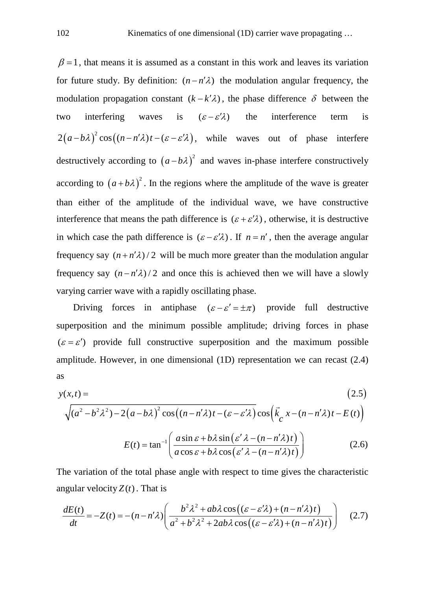$\beta = 1$ , that means it is assumed as a constant in this work and leaves its variation for future study. By definition:  $(n - n'\lambda)$  the modulation angular frequency, the modulation propagation constant  $(k - k'\lambda)$ , the phase difference  $\delta$  between the two interfering waves is  $(\varepsilon - \varepsilon' \lambda)$  the interference term is  $2(a-b\lambda)^2 \cos((n-n'\lambda)t - (\varepsilon - \varepsilon'\lambda))$ , while waves out of phase interfere destructively according to  $(a-b\lambda)^2$  and waves in-phase interfere constructively according to  $(a+b\lambda)^2$ . In the regions where the amplitude of the wave is greater than either of the amplitude of the individual wave, we have constructive interference that means the path difference is  $(\varepsilon + \varepsilon' \lambda)$ , otherwise, it is destructive in which case the path difference is  $(\varepsilon - \varepsilon' \lambda)$ . If  $n = n'$ , then the average angular frequency say  $(n + n'\lambda)/2$  will be much more greater than the modulation angular frequency say  $(n - n'\lambda)/2$  and once this is achieved then we will have a slowly varying carrier wave with a rapidly oscillating phase.

Driving forces in antiphase  $(\varepsilon - \varepsilon' = \pm \pi)$  provide full destructive superposition and the minimum possible amplitude; driving forces in phase  $({\epsilon} = {\epsilon}')$  provide full constructive superposition and the maximum possible amplitude. However, in one dimensional (1D) representation we can recast (2.4) as

$$
y(x,t) = \qquad (2.5)
$$
  

$$
\sqrt{(a^2 - b^2 \lambda^2) - 2(a - b\lambda)^2} \cos((n - n'\lambda)t - (\varepsilon - \varepsilon'\lambda)\cos(\vec{k} \cdot x - (n - n'\lambda)t - E(t))
$$
  

$$
E(t) = \tan^{-1}\left(\frac{a\sin\varepsilon + b\lambda\sin(\varepsilon'\lambda - (n - n'\lambda)t)}{a\cos\varepsilon + b\lambda\cos(\varepsilon'\lambda - (n - n'\lambda)t)}\right)
$$
 (2.6)

The variation of the total phase angle with respect to time gives the characteristic angular velocity  $Z(t)$ . That is

$$
\frac{dE(t)}{dt} = -Z(t) = -(n - n'\lambda) \left( \frac{b^2 \lambda^2 + ab\lambda \cos((\varepsilon - \varepsilon'\lambda) + (n - n'\lambda)t)}{a^2 + b^2 \lambda^2 + 2ab\lambda \cos((\varepsilon - \varepsilon'\lambda) + (n - n'\lambda)t)} \right) \tag{2.7}
$$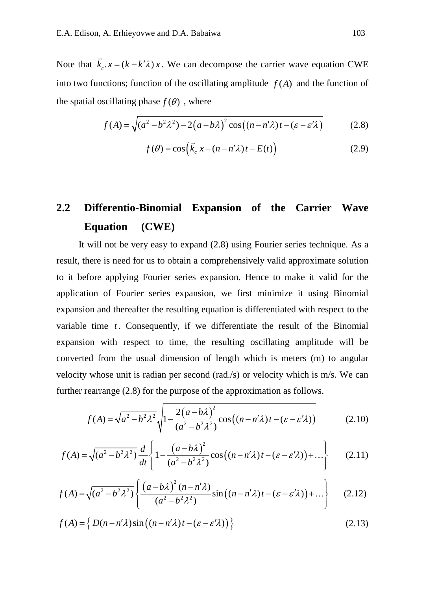Note that  $\vec{k}_c \cdot x = (k - k'\lambda)x$ . We can decompose the carrier wave equation CWE into two functions; function of the oscillating amplitude  $f(A)$  and the function of the spatial oscillating phase  $f(\theta)$ , where

$$
f(A) = \sqrt{(a^2 - b^2 \lambda^2) - 2(a - b\lambda)^2} \cos((n - n'\lambda)t - (\varepsilon - \varepsilon'\lambda)
$$
 (2.8)

$$
f(\theta) = \cos\left(\vec{k}_c x - (n - n'\lambda)t - E(t)\right)
$$
\n(2.9)

# **2.2 Differentio-Binomial Expansion of the Carrier Wave Equation (CWE)**

It will not be very easy to expand (2.8) using Fourier series technique. As a result, there is need for us to obtain a comprehensively valid approximate solution to it before applying Fourier series expansion. Hence to make it valid for the application of Fourier series expansion, we first minimize it using Binomial expansion and thereafter the resulting equation is differentiated with respect to the variable time  $t$ . Consequently, if we differentiate the result of the Binomial expansion with respect to time, the resulting oscillating amplitude will be converted from the usual dimension of length which is meters (m) to angular velocity whose unit is radian per second (rad./s) or velocity which is m/s. We can further rearrange (2.8) for the purpose of the approximation as follows.

$$
f(A) = \sqrt{a^2 - b^2 \lambda^2} \sqrt{1 - \frac{2(a - b\lambda)^2}{(a^2 - b^2 \lambda^2)}} \cos((n - n'\lambda)t - (\varepsilon - \varepsilon'\lambda))
$$
 (2.10)

$$
f(A) = \sqrt{(a^2 - b^2 \lambda^2)} \frac{d}{dt} \left\{ 1 - \frac{(a - b\lambda)^2}{(a^2 - b^2 \lambda^2)} \cos\left((n - n'\lambda)t - (\varepsilon - \varepsilon'\lambda)\right) + \dots \right\}
$$
 (2.11)

$$
f(A) = \sqrt{(a^2 - b^2 \lambda^2)} \left\{ \frac{(a - b\lambda)^2 (n - n'\lambda)}{(a^2 - b^2 \lambda^2)} \sin\left((n - n'\lambda)t - (\varepsilon - \varepsilon'\lambda)\right) + \dots \right\}
$$
 (2.12)

$$
f(A) = \left\{ D(n - n'\lambda)\sin\left((n - n'\lambda)t - (\varepsilon - \varepsilon'\lambda)\right) \right\}
$$
 (2.13)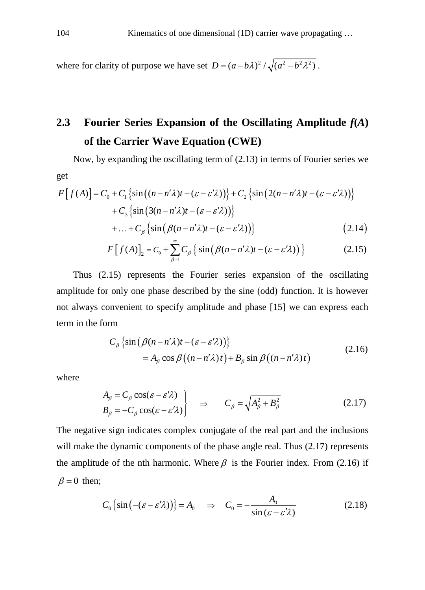where for clarity of purpose we have set  $D = (a - b\lambda)^2 / \sqrt{(a^2 - b^2\lambda^2)}$ .

### **2.3 Fourier Series Expansion of the Oscillating Amplitude** *f***(***A***) of the Carrier Wave Equation (CWE)**

Now, by expanding the oscillating term of (2.13) in terms of Fourier series we get

$$
F[f(A)] = C_0 + C_1 \left\{ \sin((n - n'\lambda)t - (\varepsilon - \varepsilon'\lambda)) \right\} + C_2 \left\{ \sin(2(n - n'\lambda)t - (\varepsilon - \varepsilon'\lambda)) \right\}
$$
  
+ 
$$
C_3 \left\{ \sin(3(n - n'\lambda)t - (\varepsilon - \varepsilon'\lambda)) \right\}
$$
  
+ ... + 
$$
C_\beta \left\{ \sin(\beta(n - n'\lambda)t - (\varepsilon - \varepsilon'\lambda)) \right\}
$$
 (2.14)

$$
F[f(A)]_2 = C_0 + \sum_{\beta=1}^{\infty} C_{\beta} \left\{ \sin \left( \beta (n - n' \lambda) t - (\varepsilon - \varepsilon' \lambda) \right) \right\}
$$
 (2.15)

Thus (2.15) represents the Fourier series expansion of the oscillating amplitude for only one phase described by the sine (odd) function. It is however not always convenient to specify amplitude and phase [15] we can express each term in the form

$$
C_{\beta} \left\{ \sin \left( \beta (n - n' \lambda) t - (\varepsilon - \varepsilon' \lambda) \right) \right\}
$$
  
=  $A_{\beta} \cos \beta \left( (n - n' \lambda) t \right) + B_{\beta} \sin \beta \left( (n - n' \lambda) t \right)$  (2.16)

where

$$
A_{\beta} = C_{\beta} \cos(\varepsilon - \varepsilon' \lambda) B_{\beta} = -C_{\beta} \cos(\varepsilon - \varepsilon' \lambda) \qquad \Rightarrow \qquad C_{\beta} = \sqrt{A_{\beta}^2 + B_{\beta}^2}
$$
 (2.17)

The negative sign indicates complex conjugate of the real part and the inclusions will make the dynamic components of the phase angle real. Thus  $(2.17)$  represents the amplitude of the nth harmonic. Where  $\beta$  is the Fourier index. From (2.16) if  $\beta = 0$  then;

$$
C_0 \{\sin(-(\varepsilon - \varepsilon' \lambda))\} = A_0 \quad \Rightarrow \quad C_0 = -\frac{A_0}{\sin(\varepsilon - \varepsilon' \lambda)}
$$
(2.18)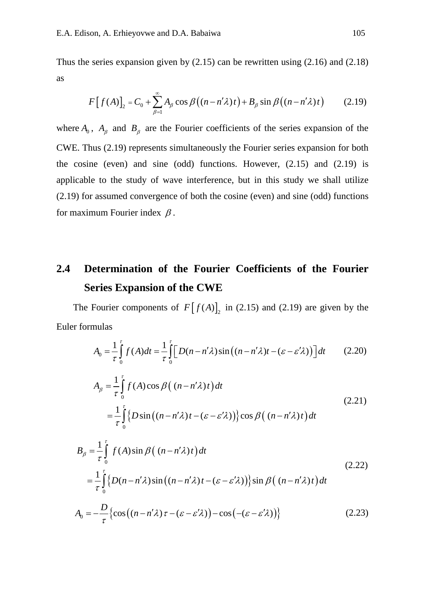Thus the series expansion given by  $(2.15)$  can be rewritten using  $(2.16)$  and  $(2.18)$ as

$$
F[f(A)]_2 = C_0 + \sum_{\beta=1}^{\infty} A_{\beta} \cos \beta ((n - n'\lambda)t) + B_{\beta} \sin \beta ((n - n'\lambda)t)
$$
 (2.19)

where  $A_0$ ,  $A_\beta$  and  $B_\beta$  are the Fourier coefficients of the series expansion of the CWE. Thus (2.19) represents simultaneously the Fourier series expansion for both the cosine (even) and sine (odd) functions. However, (2.15) and (2.19) is applicable to the study of wave interference, but in this study we shall utilize (2.19) for assumed convergence of both the cosine (even) and sine (odd) functions for maximum Fourier index  $\beta$ .

### **2.4 Determination of the Fourier Coefficients of the Fourier Series Expansion of the CWE**

The Fourier components of  $F[f(A)]_2$  in (2.15) and (2.19) are given by the Euler formulas

$$
A_0 = \frac{1}{\tau} \int_0^{\tau} f(A) dt = \frac{1}{\tau} \int_0^{\tau} \Big[ D(n - n'\lambda) \sin\left((n - n'\lambda)t - (\varepsilon - \varepsilon'\lambda)\right) \Big] dt \tag{2.20}
$$

$$
A_{\beta} = \frac{1}{\tau} \int_{0}^{\tau} f(A) \cos \beta \left( (n - n'\lambda)t \right) dt
$$
  
= 
$$
\frac{1}{\tau} \int_{0}^{\tau} \{ D \sin \left( (n - n'\lambda)t - (\varepsilon - \varepsilon'\lambda) \right) \} \cos \beta \left( (n - n'\lambda)t \right) dt
$$
 (2.21)

$$
B_{\beta} = \frac{1}{\tau} \int_{0}^{\tau} f(A) \sin \beta \left( (n - n'\lambda)t \right) dt
$$
  
\n
$$
= \frac{1}{\tau} \int_{0}^{\tau} \{ D(n - n'\lambda) \sin \left( (n - n'\lambda)t - (\varepsilon - \varepsilon'\lambda) \right) \} \sin \beta \left( (n - n'\lambda)t \right) dt
$$
  
\n
$$
A_{0} = -\frac{D}{\tau} \{ \cos \left( (n - n'\lambda)\tau - (\varepsilon - \varepsilon'\lambda) \right) - \cos \left( -(\varepsilon - \varepsilon'\lambda) \right) \}
$$
\n(2.23)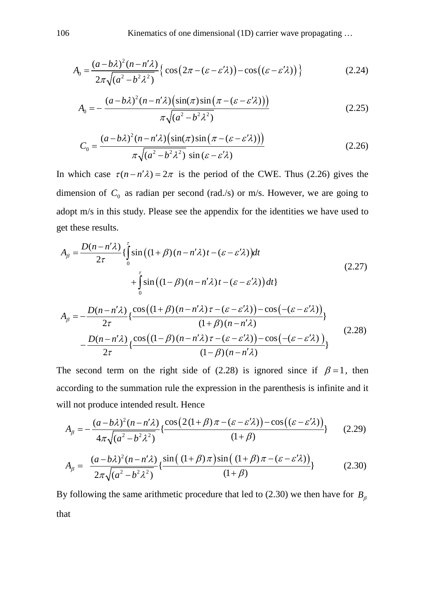$$
A_0 = \frac{(a - b\lambda)^2 (n - n'\lambda)}{2\pi \sqrt{(a^2 - b^2 \lambda^2)}} \Big\{ \cos\left(2\pi - (\varepsilon - \varepsilon'\lambda)\right) - \cos\left((\varepsilon - \varepsilon'\lambda)\right) \Big\} \tag{2.24}
$$

$$
A_0 = -\frac{(a - b\lambda)^2 (n - n'\lambda) \left(\sin(\pi)\sin\left(\pi - (\varepsilon - \varepsilon'\lambda)\right)\right)}{\pi \sqrt{(a^2 - b^2 \lambda^2)}}
$$
(2.25)

$$
C_0 = \frac{(a - b\lambda)^2 (n - n'\lambda) \left(\sin(\pi)\sin\left(\pi - (\varepsilon - \varepsilon'\lambda)\right)\right)}{\pi \sqrt{(a^2 - b^2 \lambda^2)} \sin(\varepsilon - \varepsilon'\lambda)}
$$
(2.26)

In which case  $\tau (n - n' \lambda) = 2\pi$  is the period of the CWE. Thus (2.26) gives the dimension of  $C_0$  as radian per second (rad./s) or m/s. However, we are going to adopt m/s in this study. Please see the appendix for the identities we have used to get these results.

$$
A_{\beta} = \frac{D(n - n'\lambda)}{2\tau} \left\{ \int_{0}^{\tau} \sin\left((1 + \beta)(n - n'\lambda)t - (\varepsilon - \varepsilon'\lambda)\right) dt + \int_{0}^{\tau} \sin\left((1 - \beta)(n - n'\lambda)t - (\varepsilon - \varepsilon'\lambda)\right) dt \right\}
$$
\n
$$
A_{\beta} = -\frac{D(n - n'\lambda)}{2\tau} \left\{ \frac{\cos\left((1 + \beta)(n - n'\lambda)\tau - (\varepsilon - \varepsilon'\lambda)\right) - \cos\left(-( \varepsilon - \varepsilon'\lambda)\right)}{(1 + \beta)(n - n'\lambda)} \right\}
$$
\n
$$
-\frac{D(n - n'\lambda)}{2\tau} \left\{ \frac{\cos\left((1 - \beta)(n - n'\lambda)\tau - (\varepsilon - \varepsilon'\lambda)\right) - \cos\left(-( \varepsilon - \varepsilon'\lambda)\right)}{(1 - \beta)(n - n'\lambda)} \right\}
$$
\n(2.28)

The second term on the right side of (2.28) is ignored since if  $\beta = 1$ , then according to the summation rule the expression in the parenthesis is infinite and it will not produce intended result. Hence

 $\frac{2\tau}{2\tau} \left\{ \frac{\cos((\tau - \beta)(n - n\lambda)) - \cos((n - \beta)\lambda)}{(1 - \beta)(n - n\lambda)} \right\}$ 

*n n*

$$
A_{\beta} = -\frac{(a - b\lambda)^2 (n - n'\lambda)}{4\pi \sqrt{(a^2 - b^2 \lambda^2)}} \left\{ \frac{\cos(2(1 + \beta)\pi - (\varepsilon - \varepsilon'\lambda)) - \cos((\varepsilon - \varepsilon'\lambda))}{(1 + \beta)} \right\}
$$
(2.29)

$$
A_{\beta} = \frac{(a - b\lambda)^2 (n - n'\lambda)}{2\pi \sqrt{(a^2 - b^2 \lambda^2)}} \left\{ \frac{\sin((1 + \beta)\pi)\sin((1 + \beta)\pi - (\varepsilon - \varepsilon'\lambda))}{(1 + \beta)} \right\}
$$
(2.30)

By following the same arithmetic procedure that led to (2.30) we then have for  $B_\beta$ that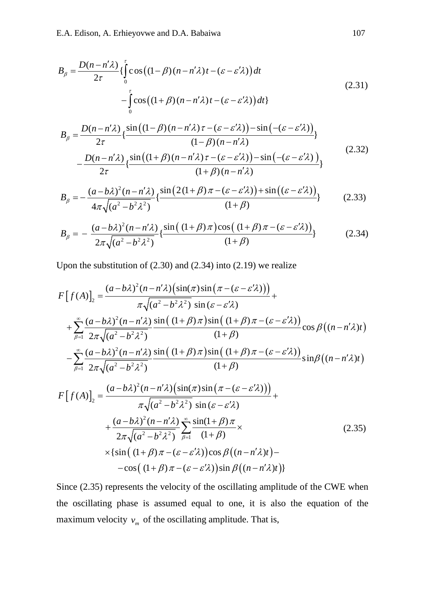$$
B_{\beta} = \frac{D(n - n'\lambda)}{2\tau} \left\{ \int_{0}^{\tau} \cos\left((1 - \beta)(n - n'\lambda)t - (\varepsilon - \varepsilon'\lambda)\right) dt - \int_{0}^{\tau} \cos\left((1 + \beta)(n - n'\lambda)t - (\varepsilon - \varepsilon'\lambda)\right) dt \right\}
$$
(2.31)

$$
B_{\beta} = \frac{D(n - n'\lambda)}{2\tau} \left\{ \frac{\sin\left((1 - \beta)(n - n'\lambda)\tau - (\varepsilon - \varepsilon'\lambda)\right) - \sin\left(-( \varepsilon - \varepsilon'\lambda)\right)}{(1 - \beta)(n - n'\lambda)} \right\}
$$
  
 
$$
- \frac{D(n - n'\lambda)}{2\tau} \left\{ \frac{\sin\left((1 + \beta)(n - n'\lambda)\tau - (\varepsilon - \varepsilon'\lambda)\right) - \sin\left(-( \varepsilon - \varepsilon'\lambda)\right)}{(1 + \beta)(n - n'\lambda)} \right\}
$$
(2.32)

$$
B_{\beta} = -\frac{(a - b\lambda)^2 (n - n'\lambda)}{4\pi \sqrt{(a^2 - b^2 \lambda^2)}} \left\{ \frac{\sin\left(2(1 + \beta)\pi - (\varepsilon - \varepsilon'\lambda)\right) + \sin\left((\varepsilon - \varepsilon'\lambda)\right)}{(1 + \beta)}\right\}
$$
(2.33)

$$
B_{\beta} = -\frac{(a - b\lambda)^2 (n - n'\lambda)}{2\pi \sqrt{(a^2 - b^2 \lambda^2)}} \left\{ \frac{\sin((1 + \beta)\pi)\cos((1 + \beta)\pi - (\varepsilon - \varepsilon'\lambda))}{(1 + \beta)} \right\}
$$
(2.34)

Upon the substitution of (2.30) and (2.34) into (2.19) we realize

$$
F[f(A)]_2 = \frac{(a-b\lambda)^2(n-n'\lambda)\left(\sin(\pi)\sin\left(\pi-(\varepsilon-\varepsilon'\lambda)\right)\right)}{\pi\sqrt{(a^2-b^2\lambda^2)}\sin(\varepsilon-\varepsilon'\lambda)} + \sum_{\beta=1}^{\infty} \frac{(a-b\lambda)^2(n-n'\lambda)\sin\left((1+\beta)\pi-(\varepsilon-\varepsilon'\lambda)\right)}{2\pi\sqrt{(a^2-b^2\lambda^2)}}\cos\beta\left((n-n'\lambda)t\right) -\sum_{\beta=1}^{\infty} \frac{(a-b\lambda)^2(n-n'\lambda)\sin\left((1+\beta)\pi-(\varepsilon-\varepsilon'\lambda)\right)}{2\pi\sqrt{(a^2-b^2\lambda^2)}}\sin\left((1+\beta)\pi-(\varepsilon-\varepsilon'\lambda)\right)}\sin\beta\left((n-n'\lambda)t\right) F[f(A)]_2 = \frac{(a-b\lambda)^2(n-n'\lambda)\left(\sin(\pi)\sin\left(\pi-(\varepsilon-\varepsilon'\lambda)\right)\right)}{\pi\sqrt{(a^2-b^2\lambda^2)}\sin(\varepsilon-\varepsilon'\lambda)} + \frac{(a-b\lambda)^2(n-n'\lambda)\sum_{\beta=1}^{\infty}\sin(1+\beta)\pi}{2\pi\sqrt{(a^2-b^2\lambda^2)}}\sum_{\beta=1}^{\infty} \frac{\sin(1+\beta)\pi}{(1+\beta)} \times \left(2.35\right) \times \left\{\sin\left((1+\beta)\pi-(\varepsilon-\varepsilon'\lambda)\right)\cos\beta\left((n-n'\lambda)t\right)\right\}
$$

$$
-\cos((1+\beta)\pi - (\varepsilon - \varepsilon'\lambda))\sin\beta((n-n'\lambda)t)
$$

Since (2.35) represents the velocity of the oscillating amplitude of the CWE when the oscillating phase is assumed equal to one, it is also the equation of the maximum velocity  $v_m$  of the oscillating amplitude. That is,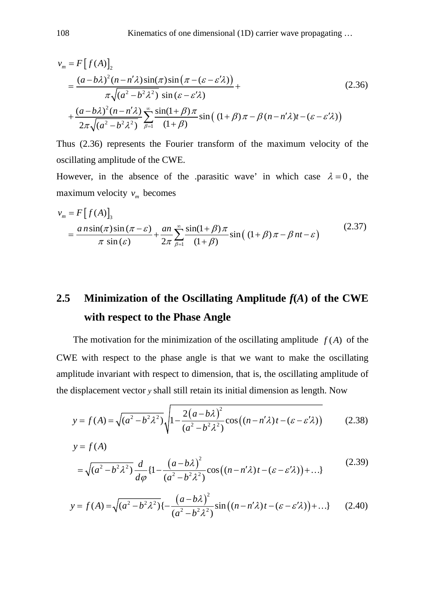$$
v_m = F[f(A)]_2
$$
  
= 
$$
\frac{(a-b\lambda)^2(n-n'\lambda)\sin(\pi)\sin(\pi-(\varepsilon-\varepsilon'\lambda))}{\pi\sqrt{(a^2-b^2\lambda^2)}\sin(\varepsilon-\varepsilon'\lambda)} +
$$
  
+ 
$$
\frac{(a-b\lambda)^2(n-n'\lambda)}{2\pi\sqrt{(a^2-b^2\lambda^2)}}\sum_{\beta=1}^{\infty}\frac{\sin(1+\beta)\pi}{(1+\beta)}\sin((1+\beta)\pi-\beta(n-n'\lambda)t-(\varepsilon-\varepsilon'\lambda))
$$
 (2.36)

Thus (2.36) represents the Fourier transform of the maximum velocity of the oscillating amplitude of the CWE.

However, in the absence of the .parasitic wave' in which case  $\lambda = 0$ , the maximum velocity  $v_m$  becomes

$$
v_m = F[f(A)]_3
$$
  
= 
$$
\frac{a n \sin(\pi) \sin(\pi - \varepsilon)}{\pi \sin(\varepsilon)} + \frac{a n}{2\pi} \sum_{\beta=1}^{\infty} \frac{\sin(1+\beta)\pi}{(1+\beta)} \sin((1+\beta)\pi - \beta nt - \varepsilon)
$$
 (2.37)

# **2.5 Minimization of the Oscillating Amplitude** *f***(***A***) of the CWE with respect to the Phase Angle**

The motivation for the minimization of the oscillating amplitude  $f(A)$  of the CWE with respect to the phase angle is that we want to make the oscillating amplitude invariant with respect to dimension, that is, the oscillating amplitude of the displacement vector *y* shall still retain its initial dimension as length. Now

$$
y = f(A) = \sqrt{(a^2 - b^2 \lambda^2)} \sqrt{1 - \frac{2(a - b\lambda)^2}{(a^2 - b^2 \lambda^2)}} \cos((n - n'\lambda)t - (\varepsilon - \varepsilon'\lambda))
$$
 (2.38)

$$
y = f(A)
$$
  
=  $\sqrt{(a^2 - b^2 \lambda^2)} \frac{d}{d\varphi} \{1 - \frac{(a - b\lambda)^2}{(a^2 - b^2 \lambda^2)} \cos((n - n'\lambda)t - (\varepsilon - \varepsilon'\lambda)) + ...\}$  (2.39)

$$
y = f(A) = \sqrt{(a^2 - b^2 \lambda^2)} \left\{ -\frac{\left(a - b\lambda\right)^2}{\left(a^2 - b^2 \lambda^2\right)} \sin\left(\left(n - n'\lambda\right)t - \left(\varepsilon - \varepsilon'\lambda\right)\right) + \dots \} \tag{2.40}
$$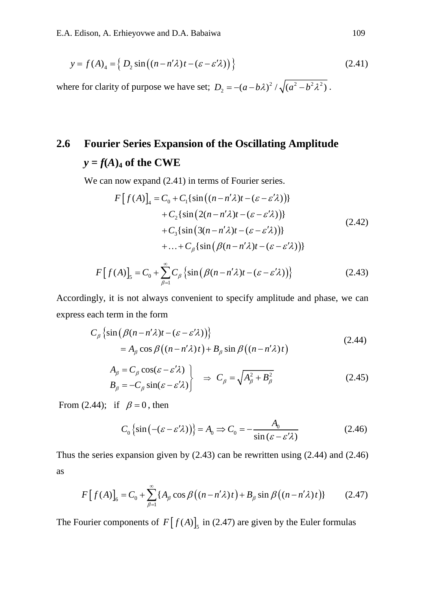$$
y = f(A)_4 = \left\{ D_2 \sin\left( (n - n'\lambda)t - (\varepsilon - \varepsilon'\lambda) \right) \right\}
$$
 (2.41)

where for clarity of purpose we have set;  $D_2 = -(a - b\lambda)^2 / \sqrt{(a^2 - b^2\lambda^2)}$ .

# **2.6 Fourier Series Expansion of the Oscillating Amplitude**   $y = f(A)$ <sup>4</sup> **of the CWE**

We can now expand  $(2.41)$  in terms of Fourier series.

$$
F[f(A)]_4 = C_0 + C_1 \{ \sin((n - n'\lambda)t - (\varepsilon - \varepsilon'\lambda)) \} + C_2 \{ \sin(2(n - n'\lambda)t - (\varepsilon - \varepsilon'\lambda)) \} + C_3 \{ \sin(3(n - n'\lambda)t - (\varepsilon - \varepsilon'\lambda)) \} + ... + C_\beta \{ \sin(\beta(n - n'\lambda)t - (\varepsilon - \varepsilon'\lambda)) \}
$$
\n(2.42)

$$
F[f(A)]_5 = C_0 + \sum_{\beta=1}^{\infty} C_{\beta} \left\{ \sin \left( \beta (n - n' \lambda) t - (\varepsilon - \varepsilon' \lambda) \right) \right\}
$$
 (2.43)

Accordingly, it is not always convenient to specify amplitude and phase, we can express each term in the form

$$
C_{\beta}\left\{\sin\left(\beta(n-n'\lambda)t-(\varepsilon-\varepsilon'\lambda)\right)\right\}
$$
  
=  $A_{\beta}\cos\beta\left((n-n'\lambda)t\right)+B_{\beta}\sin\beta\left((n-n'\lambda)t\right)$  (2.44)

$$
\left.\n\begin{aligned}\nA_{\beta} &= C_{\beta} \cos(\varepsilon - \varepsilon' \lambda) \\
B_{\beta} &= -C_{\beta} \sin(\varepsilon - \varepsilon' \lambda)\n\end{aligned}\n\right\}\n\quad\n\Rightarrow\nC_{\beta} = \sqrt{A_{\beta}^2 + B_{\beta}^2}\n\tag{2.45}
$$

From (2.44); if  $\beta = 0$ , then

$$
C_0 \{\sin(-(\varepsilon - \varepsilon' \lambda))\} = A_0 \Rightarrow C_0 = -\frac{A_0}{\sin(\varepsilon - \varepsilon' \lambda)}
$$
(2.46)

Thus the series expansion given by  $(2.43)$  can be rewritten using  $(2.44)$  and  $(2.46)$ as

$$
F[f(A)]_{6} = C_{0} + \sum_{\beta=1}^{\infty} \{A_{\beta} \cos \beta ((n - n^{\prime} \lambda)t) + B_{\beta} \sin \beta ((n - n^{\prime} \lambda)t)\}
$$
(2.47)

The Fourier components of  $F[f(A)]_5$  in (2.47) are given by the Euler formulas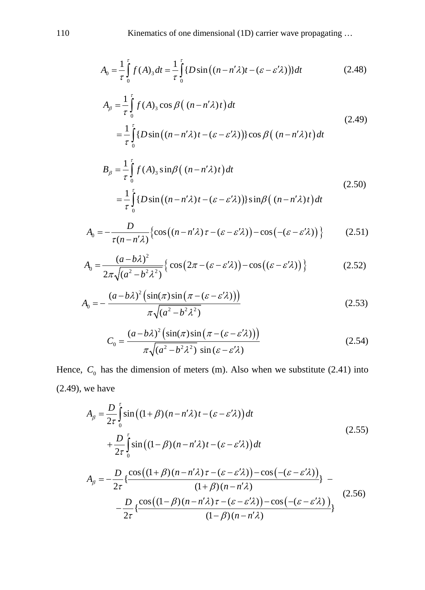$$
A_0 = \frac{1}{\tau} \int_0^{\tau} f(A)_3 dt = \frac{1}{\tau} \int_0^{\tau} \{ D \sin \left( (n - n'\lambda)t - (\varepsilon - \varepsilon'\lambda) \right) \} dt \tag{2.48}
$$

$$
A_{\beta} = \frac{1}{\tau} \int_{0}^{\tau} f(A)_{3} \cos \beta \left( (n - n'\lambda)t \right) dt
$$
  
= 
$$
\frac{1}{\tau} \int_{0}^{\tau} \{ D \sin \left( (n - n'\lambda)t - (\varepsilon - \varepsilon'\lambda) \right) \} \cos \beta \left( (n - n'\lambda)t \right) dt
$$
 (2.49)

$$
B_{\beta} = \frac{1}{\tau} \int_{0}^{\tau} f(A)_{3} \sin \beta \left( (n - n^{\prime} \lambda)t \right) dt
$$
  
= 
$$
\frac{1}{\tau} \int_{0}^{\tau} \{ D \sin \left( (n - n^{\prime} \lambda)t - (\varepsilon - \varepsilon^{\prime} \lambda) \right) \} \sin \beta \left( (n - n^{\prime} \lambda)t \right) dt
$$
 (2.50)

$$
A_0 = -\frac{D}{\tau(n - n'\lambda)} \Big\{ \cos\big((n - n'\lambda)\tau - (\varepsilon - \varepsilon'\lambda)\big) - \cos\big((\varepsilon - \varepsilon'\lambda)\big) \Big\} \tag{2.51}
$$

$$
A_0 = \frac{(a - b\lambda)^2}{2\pi\sqrt{(a^2 - b^2\lambda^2)}} \Big\{ \cos\left(2\pi - (\varepsilon - \varepsilon'\lambda)\right) - \cos\left((\varepsilon - \varepsilon'\lambda)\right) \Big\} \tag{2.52}
$$

$$
A_0 = -\frac{(a - b\lambda)^2 \left(\sin(\pi)\sin\left(\pi - (\varepsilon - \varepsilon'\lambda)\right)\right)}{\pi\sqrt{(a^2 - b^2\lambda^2)}}
$$
(2.53)

$$
C_0 = \frac{(a - b\lambda)^2 \left(\sin(\pi)\sin\left(\pi - (\varepsilon - \varepsilon'\lambda)\right)\right)}{\pi\sqrt{(a^2 - b^2\lambda^2)}\sin(\varepsilon - \varepsilon'\lambda)}
$$
(2.54)

Hence,  $C_0$  has the dimension of meters (m). Also when we substitute (2.41) into (2.49), we have

$$
A_{\beta} = \frac{D}{2\tau} \int_{0}^{\tau} \sin\left((1+\beta)(n-n'\lambda)t - (\varepsilon - \varepsilon'\lambda)\right) dt
$$
  
\n
$$
+ \frac{D}{2\tau} \int_{0}^{\tau} \sin\left((1-\beta)(n-n'\lambda)t - (\varepsilon - \varepsilon'\lambda)\right) dt
$$
  
\n
$$
A_{\beta} = -\frac{D}{2\tau} \left\{ \frac{\cos\left((1+\beta)(n-n'\lambda)\tau - (\varepsilon - \varepsilon'\lambda)\right) - \cos\left(-( \varepsilon - \varepsilon'\lambda)\right)}{(1+\beta)(n-n'\lambda)} \right\} - \frac{D}{2\tau} \left\{ \frac{\cos\left((1-\beta)(n-n'\lambda)\tau - (\varepsilon - \varepsilon'\lambda)\right) - \cos\left(-( \varepsilon - \varepsilon'\lambda)\right)}{(1-\beta)(n-n'\lambda)} \right\}
$$
(2.56)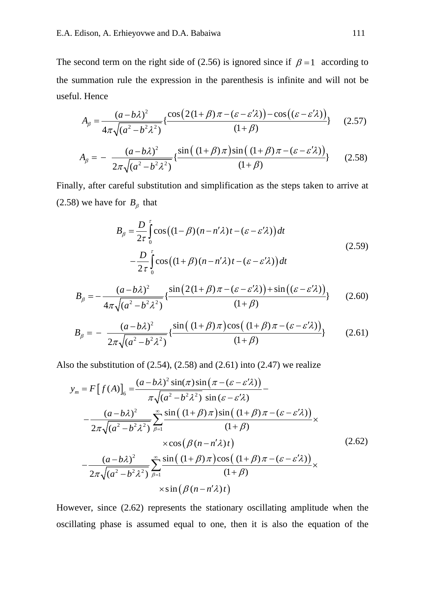The second term on the right side of (2.56) is ignored since if  $\beta = 1$  according to the summation rule the expression in the parenthesis is infinite and will not be useful. Hence

$$
A_{\beta} = \frac{(a - b\lambda)^2}{4\pi\sqrt{(a^2 - b^2\lambda^2)}} \left\{ \frac{\cos\left(2(1 + \beta)\pi - (\varepsilon - \varepsilon'\lambda)\right) - \cos\left((\varepsilon - \varepsilon'\lambda)\right)}{(1 + \beta)}\right\} \tag{2.57}
$$

$$
A_{\beta} = -\frac{(a - b\lambda)^2}{2\pi\sqrt{(a^2 - b^2\lambda^2)}} \left\{ \frac{\sin((1 + \beta)\pi)\sin((1 + \beta)\pi - (\varepsilon - \varepsilon'\lambda))}{(1 + \beta)} \right\}
$$
 (2.58)

Finally, after careful substitution and simplification as the steps taken to arrive at (2.58) we have for  $B_\beta$  that

$$
B_{\beta} = \frac{D}{2\tau} \int_{0}^{\tau} \cos\left((1-\beta)(n-n'\lambda)t - (\varepsilon - \varepsilon'\lambda)\right) dt
$$
  

$$
- \frac{D}{2\tau} \int_{0}^{\tau} \cos\left((1+\beta)(n-n'\lambda)t - (\varepsilon - \varepsilon'\lambda)\right) dt
$$
 (2.59)

$$
B_{\beta} = -\frac{(a - b\lambda)^2}{4\pi\sqrt{(a^2 - b^2\lambda^2)}} \left\{ \frac{\sin\left(2\left(1 + \beta\right)\pi - \left(\varepsilon - \varepsilon'\lambda\right)\right) + \sin\left(\left(\varepsilon - \varepsilon'\lambda\right)\right)}{\left(1 + \beta\right)}\right\} \tag{2.60}
$$

$$
B_{\beta} = -\frac{(a - b\lambda)^2}{2\pi\sqrt{(a^2 - b^2\lambda^2)}} \left\{ \frac{\sin((1 + \beta)\pi)\cos((1 + \beta)\pi - (\varepsilon - \varepsilon'\lambda))}{(1 + \beta)} \right\}
$$
(2.61)

Also the substitution of  $(2.54)$ ,  $(2.58)$  and  $(2.61)$  into  $(2.47)$  we realize

$$
y_{m} = F[f(A)]_{6} = \frac{(a-b\lambda)^{2} \sin(\pi)\sin(\pi - (\varepsilon - \varepsilon'\lambda))}{\pi\sqrt{(a^{2} - b^{2}\lambda^{2})} \sin(\varepsilon - \varepsilon'\lambda)} - \frac{(a-b\lambda)^{2}}{2\pi\sqrt{(a^{2} - b^{2}\lambda^{2})}} \sum_{\beta=1}^{\infty} \frac{\sin((1+\beta)\pi)\sin((1+\beta)\pi - (\varepsilon - \varepsilon'\lambda))}{(1+\beta)} \times \cos(\beta(n - n'\lambda)t) - \frac{(a-b\lambda)^{2}}{2\pi\sqrt{(a^{2} - b^{2}\lambda^{2})}} \sum_{\beta=1}^{\infty} \frac{\sin((1+\beta)\pi)\cos((1+\beta)\pi - (\varepsilon - \varepsilon'\lambda))}{(1+\beta)} \times \sin(\beta(n - n'\lambda)t)
$$
\n(2.62)

However, since (2.62) represents the stationary oscillating amplitude when the oscillating phase is assumed equal to one, then it is also the equation of the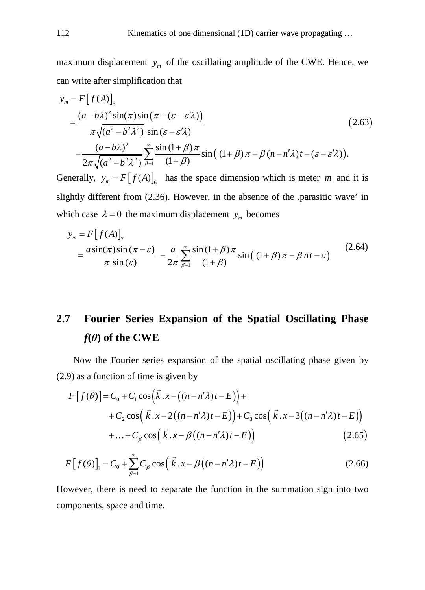maximum displacement  $y_m$  of the oscillating amplitude of the CWE. Hence, we can write after simplification that

$$
y_{m} = F[f(A)]_{6}
$$
  
= 
$$
\frac{(a-b\lambda)^{2} \sin(\pi)\sin(\pi - (\varepsilon - \varepsilon'\lambda))}{\pi\sqrt{(a^{2}-b^{2}\lambda^{2})} \sin(\varepsilon - \varepsilon'\lambda)}
$$
  

$$
-\frac{(a-b\lambda)^{2}}{2\pi\sqrt{(a^{2}-b^{2}\lambda^{2})}} \sum_{\beta=1}^{\infty} \frac{\sin(1+\beta)\pi}{(1+\beta)} \sin((1+\beta)\pi - \beta(n-n'\lambda)t - (\varepsilon - \varepsilon'\lambda)).
$$
 (2.63)

Generally,  $y_m = F[f(A)]_6$  has the space dimension which is meter *m* and it is slightly different from (2.36). However, in the absence of the .parasitic wave' in which case  $\lambda = 0$  the maximum displacement  $y_m$  becomes

$$
y_m = F[f(A)]_{7}
$$
  
= 
$$
\frac{a \sin(\pi) \sin(\pi - \varepsilon)}{\pi \sin(\varepsilon)} - \frac{a}{2\pi} \sum_{\beta=1}^{\infty} \frac{\sin(1+\beta)\pi}{(1+\beta)} \sin((1+\beta)\pi - \beta nt - \varepsilon)
$$
(2.64)

# **2.7 Fourier Series Expansion of the Spatial Oscillating Phase**  $f(\theta)$  of the CWE

Now the Fourier series expansion of the spatial oscillating phase given by (2.9) as a function of time is given by

$$
F[f(\theta)] = C_0 + C_1 \cos(\vec{k} \cdot x - ((n - n'\lambda)t - E)) ++ C_2 \cos(\vec{k} \cdot x - 2((n - n'\lambda)t - E)) + C_3 \cos(\vec{k} \cdot x - 3((n - n'\lambda)t - E)) + \dots + C_\beta \cos(\vec{k} \cdot x - \beta((n - n'\lambda)t - E))
$$
(2.65)

$$
F[f(\theta)]_1 = C_0 + \sum_{\beta=1}^{\infty} C_{\beta} \cos(\vec{k} \cdot x - \beta((n - n'\lambda)t - E))
$$
 (2.66)

However, there is need to separate the function in the summation sign into two components, space and time.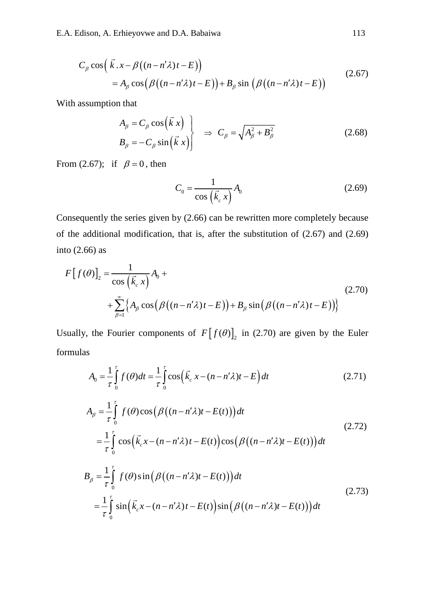$$
C_{\beta}\cos\left(\vec{k} \cdot x - \beta\left((n - n'\lambda)t - E\right)\right)
$$
  
=  $A_{\beta}\cos\left(\beta\left((n - n'\lambda)t - E\right)\right) + B_{\beta}\sin\left(\beta\left((n - n'\lambda)t - E\right)\right)$  (2.67)

With assumption that

$$
\left\{\n\begin{aligned}\nA_{\beta} &= C_{\beta} \cos\left(\vec{k} \times \right) \\
B_{\beta} &= -C_{\beta} \sin\left(\vec{k} \times \right)\n\end{aligned}\n\right\}\n\Rightarrow\nC_{\beta} = \sqrt{A_{\beta}^2 + B_{\beta}^2}\n\tag{2.68}
$$

From (2.67); if  $\beta = 0$ , then

$$
C_0 = \frac{1}{\cos\left(\vec{k}_c x\right)} A_0 \tag{2.69}
$$

Consequently the series given by (2.66) can be rewritten more completely because of the additional modification, that is, after the substitution of (2.67) and (2.69) into (2.66) as

$$
F[f(\theta)]_2 = \frac{1}{\cos(\vec{k}, x)} A_0 +
$$
  
+ 
$$
\sum_{\beta=1}^{\infty} \left\{ A_\beta \cos(\beta((n - n'\lambda)t - E)) + B_\beta \sin(\beta((n - n'\lambda)t - E)) \right\}
$$
 (2.70)

Usually, the Fourier components of  $F [ f(\theta) ]_2$  in (2.70) are given by the Euler formulas

$$
A_0 = \frac{1}{\tau} \int_0^{\tau} f(\theta) dt = \frac{1}{\tau} \int_0^{\tau} \cos \left( \vec{k}_c \ x - (n - n'\lambda)t - E \right) dt \tag{2.71}
$$

$$
A_{\beta} = \frac{1}{\tau} \int_{0}^{\tau} f(\theta) \cos \left( \beta \left( (n - n'\lambda)t - E(t) \right) \right) dt
$$
\n
$$
= \frac{1}{\tau} \int_{0}^{\tau} \cos \left( \vec{k}_{c} x - (n - n'\lambda)t - E(t) \right) \cos \left( \beta \left( (n - n'\lambda)t - E(t) \right) \right) dt
$$
\n
$$
B_{\beta} = \frac{1}{\tau} \int_{0}^{\tau} f(\theta) \sin \left( \beta \left( (n - n'\lambda)t - E(t) \right) \right) dt
$$
\n
$$
= \frac{1}{\tau} \int_{0}^{\tau} \sin \left( \vec{k}_{c} x - (n - n'\lambda)t - E(t) \right) \sin \left( \beta \left( (n - n'\lambda)t - E(t) \right) \right) dt
$$
\n(2.73)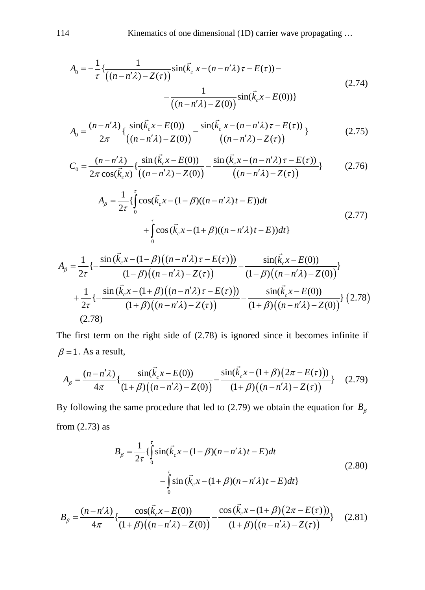$$
A_0 = -\frac{1}{\tau} \left\{ \frac{1}{((n - n'\lambda) - Z(\tau))} \sin(\vec{k}_c x - (n - n'\lambda)\tau - E(\tau)) - \frac{1}{((n - n'\lambda) - Z(0))} \sin(\vec{k}_c x - E(0)) \right\}
$$
(2.74)

$$
A_0 = \frac{(n - n'\lambda)}{2\pi} \left\{ \frac{\sin(\vec{k}_c x - E(0))}{((n - n'\lambda) - Z(0))} - \frac{\sin(\vec{k}_c x - (n - n'\lambda)\tau - E(\tau))}{((n - n'\lambda) - Z(\tau))} \right\}
$$
(2.75)

$$
C_0 = \frac{(n - n'\lambda)}{2\pi \cos(\vec{k}_c x)} \left\{ \frac{\sin(\vec{k}_c x - E(0))}{((n - n'\lambda) - Z(0))} - \frac{\sin(\vec{k}_c x - (n - n'\lambda)\tau - E(\tau))}{((n - n'\lambda) - Z(\tau))} \right\}
$$
(2.76)

$$
A_{\beta} = \frac{1}{2\tau} \{ \int_{0}^{\tau} \cos(\vec{k}_{c}x - (1 - \beta)((n - n'\lambda)t - E))dt + \int_{0}^{\tau} \cos(\vec{k}_{c}x - (1 + \beta)((n - n'\lambda)t - E))dt \}
$$
(2.77)

$$
A_{\beta} = \frac{1}{2\tau} \left\{ -\frac{\sin{(\vec{k}_{c}x - (1-\beta)((n - n'\lambda)\tau - E(\tau)))}}{(1-\beta)((n - n'\lambda) - Z(\tau))} - \frac{\sin{(\vec{k}_{c}x - E(0))}}{(1-\beta)((n - n'\lambda) - Z(0))} \right\}
$$
  
+ 
$$
\frac{1}{2\tau} \left\{ -\frac{\sin{(\vec{k}_{c}x - (1+\beta)((n - n'\lambda)\tau - E(\tau)))}}{(1+\beta)((n - n'\lambda) - Z(\tau))} - \frac{\sin{(\vec{k}_{c}x - E(0))}}{(1+\beta)((n - n'\lambda) - Z(0))} \right\} (2.78)
$$
  
(2.78)

 The first term on the right side of (2.78) is ignored since it becomes infinite if  $\beta = 1$ . As a result,

$$
A_{\beta} = \frac{(n - n'\lambda)}{4\pi} \left\{ \frac{\sin(\vec{k}_{c}x - E(0))}{(1 + \beta)\left((n - n'\lambda) - Z(0)\right)} - \frac{\sin(\vec{k}_{c}x - (1 + \beta)(2\pi - E(\tau)))}{(1 + \beta)\left((n - n'\lambda) - Z(\tau)\right)} \right\}
$$
(2.79)

By following the same procedure that led to (2.79) we obtain the equation for  $B_\beta$ from (2.73) as

$$
B_{\beta} = \frac{1}{2\tau} \{ \int_{0}^{\tau} \sin(\vec{k}_{c}x - (1 - \beta)(n - n'\lambda)t - E)dt - \int_{0}^{\tau} \sin(\vec{k}_{c}x - (1 + \beta)(n - n'\lambda)t - E)dt \}
$$
(2.80)

$$
B_{\beta} = \frac{(n - n'\lambda)}{4\pi} \left\{ \frac{\cos(\vec{k}_{c}x - E(0))}{(1 + \beta)\left((n - n'\lambda) - Z(0)\right)} - \frac{\cos(\vec{k}_{c}x - (1 + \beta)(2\pi - E(\tau)))}{(1 + \beta)\left((n - n'\lambda) - Z(\tau)\right)} \right\}
$$
(2.81)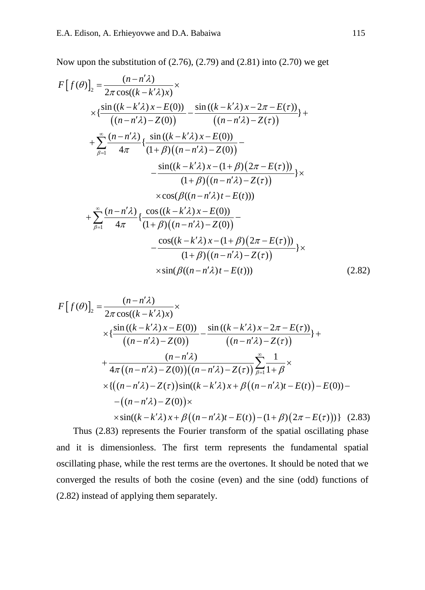Now upon the substitution of (2.76), (2.79) and (2.81) into (2.70) we get

$$
F[f(\theta)]_2 = \frac{(n - n'\lambda)}{2\pi \cos((k - k'\lambda)x)} \times
$$
  
\n
$$
\times \left\{ \frac{\sin((k - k'\lambda)x - E(0))}{((n - n'\lambda) - Z(0))} - \frac{\sin((k - k'\lambda)x - 2\pi - E(\tau))}{((n - n'\lambda) - Z(\tau))} \right\} +
$$
  
\n
$$
+ \sum_{\beta=1}^{\infty} \frac{(n - n'\lambda)}{4\pi} \left\{ \frac{\sin((k - k'\lambda)x - E(0))}{(1 + \beta)((n - n'\lambda) - Z(0))} - \frac{\sin((k - k'\lambda)x - (1 + \beta)(2\pi - E(\tau)))}{(1 + \beta)((n - n'\lambda) - Z(\tau))} \right\} \times
$$
  
\n
$$
\times \cos(\beta((n - n'\lambda)t - E(t)))
$$
  
\n
$$
+ \sum_{\beta=1}^{\infty} \frac{(n - n'\lambda)}{4\pi} \left\{ \frac{\cos((k - k'\lambda)x - E(0))}{(1 + \beta)((n - n'\lambda) - Z(0))} - \frac{\cos((k - k'\lambda)x - (1 + \beta)(2\pi - E(\tau)))}{(1 + \beta)((n - n'\lambda) - Z(\tau))} \right\} \times
$$
  
\n
$$
\times \sin(\beta((n - n'\lambda)t - E(t)))
$$
\n(2.82)

$$
F[f(\theta)]_2 = \frac{(n - n'\lambda)}{2\pi \cos((k - k'\lambda)x)} \times
$$
  
 
$$
\times \{\frac{\sin ((k - k'\lambda)x - E(0))}{((n - n'\lambda) - Z(0))} - \frac{\sin ((k - k'\lambda)x - 2\pi - E(\tau))}{((n - n'\lambda) - Z(\tau))}\} +
$$
  
 
$$
+ \frac{(n - n'\lambda)}{4\pi ((n - n'\lambda) - Z(0))((n - n'\lambda) - Z(\tau))} \sum_{\beta=1}^{\infty} \frac{1}{1 + \beta} \times
$$
  
 
$$
\times \{((n - n'\lambda) - Z(\tau))\sin((k - k'\lambda)x + \beta((n - n'\lambda)t - E(t)) - E(0)) -
$$
  
 
$$
-((n - n'\lambda) - Z(0)) \times
$$
  
 
$$
\times \sin((k - k'\lambda)x + \beta((n - n'\lambda)t - E(t)) - (1 + \beta)(2\pi - E(\tau)))\}
$$
 (2.83)

Thus (2.83) represents the Fourier transform of the spatial oscillating phase and it is dimensionless. The first term represents the fundamental spatial oscillating phase, while the rest terms are the overtones. It should be noted that we converged the results of both the cosine (even) and the sine (odd) functions of (2.82) instead of applying them separately.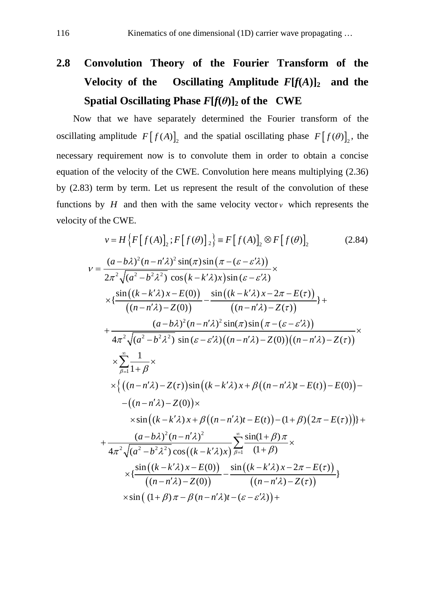# **2.8 Convolution Theory of the Fourier Transform of the Velocity of the Oscillating Amplitude**  $F[f(A)]_2$  and the **Spatial Oscillating Phase**  $F[f(\theta)]_2$  of the CWE

Now that we have separately determined the Fourier transform of the oscillating amplitude  $F[f(A)]_2$  and the spatial oscillating phase  $F[f(\theta)]_2$ , the necessary requirement now is to convolute them in order to obtain a concise equation of the velocity of the CWE. Convolution here means multiplying (2.36) by (2.83) term by term. Let us represent the result of the convolution of these functions by  $H$  and then with the same velocity vector  $v$  which represents the velocity of the CWE.

$$
v = H\left\{F\left[f(A)\right]_{2}; F\left[f(\theta)\right]_{2}\right\} = F\left[f(A)\right]_{2} \otimes F\left[f(\theta)\right]_{2}
$$
(2.84)  
\n
$$
v = \frac{(a-b\lambda)^{2}(n-n'\lambda)^{2}\sin(\pi)\sin(\pi-(\varepsilon-\varepsilon'\lambda))}{2\pi^{2}\sqrt{(a^{2}-b^{2}\lambda^{2})}\cos(k-k'\lambda)x)\sin(\varepsilon-\varepsilon'\lambda)} \times \left\{ \frac{\sin((k-k'\lambda)x-E(0))}{((n-n'\lambda)-Z(0))} - \frac{\sin((k-k'\lambda)x-2\pi-E(\tau))}{((n-n'\lambda)-Z(\tau))}\right\} + \frac{(a-b\lambda)^{2}(n-n'\lambda)^{2}\sin(\pi)\sin(\pi-(\varepsilon-\varepsilon'\lambda))}{4\pi^{2}\sqrt{(a^{2}-b^{2}\lambda^{2})}\sin(\varepsilon-\varepsilon'\lambda)((n-n'\lambda)-Z(0))((n-n'\lambda)-Z(\tau))} \times \frac{\sum_{\beta=1}^{\infty}\frac{1}{1+\beta} \times}{1+\beta} \times \left\{ \left((n-n'\lambda)-Z(\tau)\right)\sin\left((k-k'\lambda)x+\beta\left((n-n'\lambda)t-E(t)\right)-E(0)\right)- \right. \\ \left. -(n-n'\lambda)-Z(0)\right) \times \sin((k-k'\lambda)x+\beta((n-n'\lambda)t-E(t))-(1+\beta)(2\pi-E(\tau))\right)\right\} + \frac{(a-b\lambda)^{2}(n-n'\lambda)^{2}}{4\pi^{2}\sqrt{(a^{2}-b^{2}\lambda^{2})}\cos((k-k'\lambda)x)\sum_{\beta=1}^{\infty}\frac{\sin(1+\beta)\pi}{(1+\beta)} \times \left\{ \frac{\sin((k-k'\lambda)x-E(0))}{((n-n'\lambda)-Z(0))} - \frac{\sin((k-k'\lambda)x-2\pi-E(\tau))}{((n-n'\lambda)-Z(\tau))}\right\} \times \sin((1+\beta)\pi-\beta(n-n'\lambda)t-(\varepsilon-\varepsilon'\lambda)) + \frac{\sin((1+\beta)\pi-\beta(n-n'\lambda)t-(\varepsilon-\varepsilon'\lambda))}{4\pi^{2}\sqrt{(a^{2}-b^{2}\lambda^{2})}\cos((n-n'\lambda)t-(\varepsilon-\varepsilon'\lambda))} + \frac{\sin((1+\beta)\pi-\varepsilon-\varepsilon'\lambda)}{4\pi^{2}\sqrt{(a^{2}-b^{2}\lambda^{2})}\cos((k-k'\lambda)x)\sin(\varepsilon-\v
$$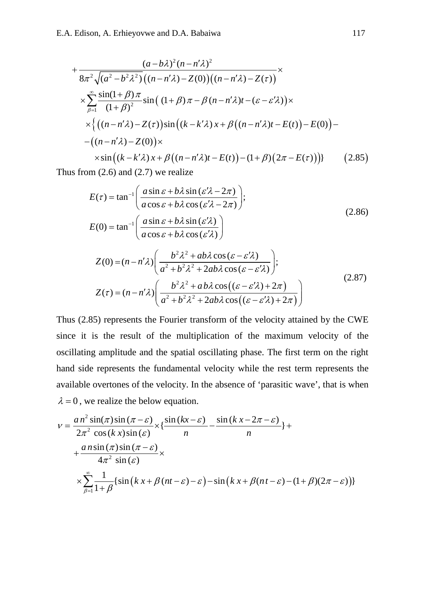$$
+\frac{(a-b\lambda)^2(n-n'\lambda)^2}{8\pi^2\sqrt{(a^2-b^2\lambda^2)}\left((n-n'\lambda)-Z(0)\right)\left((n-n'\lambda)-Z(\tau)\right)} \times
$$
  

$$
\times \sum_{\beta=1}^{\infty} \frac{\sin(1+\beta)\pi}{(1+\beta)^2} \sin\left((1+\beta)\pi-\beta(n-n'\lambda)t-(\varepsilon-\varepsilon'\lambda)\right) \times
$$
  

$$
\times \left\{\left((n-n'\lambda)-Z(\tau)\right)\sin\left((k-k'\lambda)x+\beta\left((n-n'\lambda)t-E(t)\right)-E(0)\right)-\right. \\ \left. \left. -\left((n-n'\lambda)-Z(0)\right)\times\right.\right.
$$
  

$$
\times \sin\left((k-k'\lambda)x+\beta\left((n-n'\lambda)t-E(t)\right)-\left(1+\beta\right)\left(2\pi-E(\tau)\right)\right)\right\}
$$
 (2.85)

Thus from  $(2.6)$  and  $(2.7)$  we realize

1 1 sin sin ( 2 ) ( ) tan ; cos cos ( 2 ) sin sin ( ) (0) tan cos cos ( ) *a b <sup>E</sup> a b a b <sup>E</sup> a b* <sup>ε</sup> λ ελ <sup>π</sup> τ <sup>ε</sup> λ ελ <sup>π</sup> <sup>ε</sup> λ ελ <sup>ε</sup> λ ελ − − + − ′ <sup>=</sup> + − ′ <sup>+</sup> ′ <sup>=</sup> <sup>+</sup> ′ (2.86) 2 2 *b ab Z nn* <sup>λ</sup> <sup>λ</sup> <sup>ε</sup> ελ <sup>λ</sup>

$$
Z(0) = (n - n'\lambda) \left( \frac{b^2 \lambda^2 + ab\lambda \cos(\varepsilon - \varepsilon'\lambda)}{a^2 + b^2 \lambda^2 + 2ab\lambda \cos(\varepsilon - \varepsilon'\lambda)} \right);
$$
  
\n
$$
Z(\tau) = (n - n'\lambda) \left( \frac{b^2 \lambda^2 + ab\lambda \cos((\varepsilon - \varepsilon'\lambda) + 2\pi)}{a^2 + b^2 \lambda^2 + 2ab\lambda \cos((\varepsilon - \varepsilon'\lambda) + 2\pi)} \right)
$$
\n(2.87)

Thus (2.85) represents the Fourier transform of the velocity attained by the CWE since it is the result of the multiplication of the maximum velocity of the oscillating amplitude and the spatial oscillating phase. The first term on the right hand side represents the fundamental velocity while the rest term represents the available overtones of the velocity. In the absence of 'parasitic wave', that is when  $\lambda = 0$ , we realize the below equation.

$$
v = \frac{a n^2 \sin(\pi) \sin(\pi - \varepsilon)}{2\pi^2 \cos(kx) \sin(\varepsilon)} \times \left\{ \frac{\sin(kx - \varepsilon)}{n} - \frac{\sin(kx - 2\pi - \varepsilon)}{n} \right\} +
$$
  
+ 
$$
\frac{a n \sin(\pi) \sin(\pi - \varepsilon)}{4\pi^2 \sin(\varepsilon)} \times
$$
  

$$
\times \sum_{\beta=1}^{\infty} \frac{1}{1 + \beta} \left\{ \sin(kx + \beta(nt - \varepsilon) - \varepsilon) - \sin(kx + \beta(nt - \varepsilon) - (1 + \beta)(2\pi - \varepsilon) \right\}
$$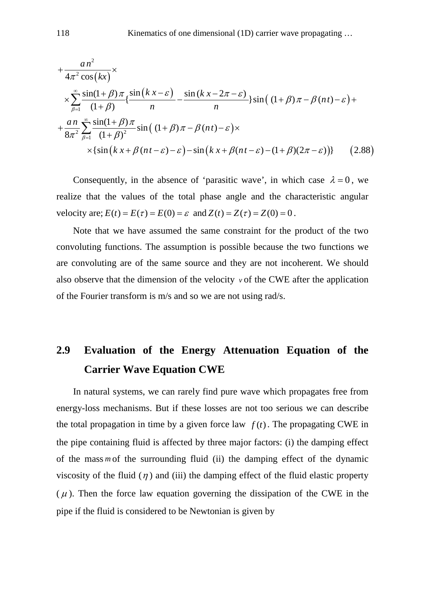$$
+\frac{an^2}{4\pi^2 \cos(kx)} \times \frac{an(1+\beta)\pi}{1+\beta} \left\{ \frac{\sin((kx-\varepsilon))}{n} - \frac{\sin((kx-2\pi-\varepsilon))}{n} \right\} \sin((1+\beta)\pi - \beta(nt) - \varepsilon) + \frac{an}{8\pi^2} \sum_{\beta=1}^{\infty} \frac{\sin(1+\beta)\pi}{(1+\beta)^2} \sin((1+\beta)\pi - \beta(nt) - \varepsilon) \times \frac{sin((kx+\beta)(n-\varepsilon)-\varepsilon) - sin(kx+\beta(nt-\varepsilon)-(1+\beta)(2\pi-\varepsilon))}{(1+\beta)^2} \tag{2.88}
$$

Consequently, in the absence of 'parasitic wave', in which case  $\lambda = 0$ , we realize that the values of the total phase angle and the characteristic angular velocity are;  $E(t) = E(\tau) = E(0) = \varepsilon$  and  $Z(t) = Z(\tau) = Z(0) = 0$ .

Note that we have assumed the same constraint for the product of the two convoluting functions. The assumption is possible because the two functions we are convoluting are of the same source and they are not incoherent. We should also observe that the dimension of the velocity  $\nu$  of the CWE after the application of the Fourier transform is m/s and so we are not using rad/s.

# **2.9 Evaluation of the Energy Attenuation Equation of the Carrier Wave Equation CWE**

In natural systems, we can rarely find pure wave which propagates free from energy-loss mechanisms. But if these losses are not too serious we can describe the total propagation in time by a given force law  $f(t)$ . The propagating CWE in the pipe containing fluid is affected by three major factors: (i) the damping effect of the mass *m* of the surrounding fluid (ii) the damping effect of the dynamic viscosity of the fluid  $(\eta)$  and (iii) the damping effect of the fluid elastic property  $(\mu)$ . Then the force law equation governing the dissipation of the CWE in the pipe if the fluid is considered to be Newtonian is given by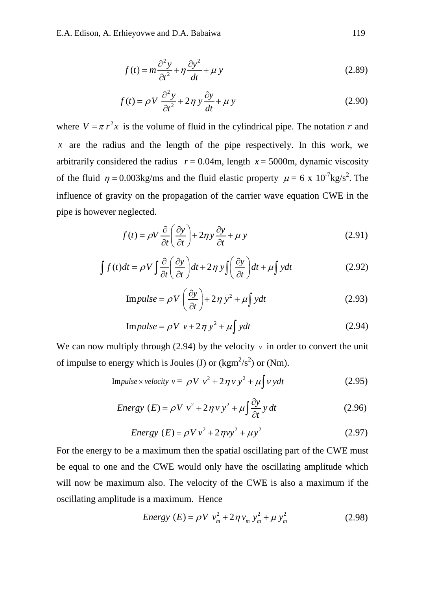$$
f(t) = m\frac{\partial^2 y}{\partial t^2} + \eta \frac{\partial y^2}{\partial t} + \mu y
$$
\n(2.89)

$$
f(t) = \rho V \frac{\partial^2 y}{\partial t^2} + 2\eta y \frac{\partial y}{\partial t} + \mu y
$$
 (2.90)

where  $V = \pi r^2 x$  is the volume of fluid in the cylindrical pipe. The notation r and *x* are the radius and the length of the pipe respectively. In this work, we arbitrarily considered the radius  $r = 0.04$ m, length  $x = 5000$ m, dynamic viscosity of the fluid  $\eta = 0.003 \text{kg/ms}$  and the fluid elastic property  $\mu = 6 \times 10^{-7} \text{kg/s}^2$ . The influence of gravity on the propagation of the carrier wave equation CWE in the pipe is however neglected.

$$
f(t) = \rho V \frac{\partial}{\partial t} \left( \frac{\partial y}{\partial t} \right) + 2\eta y \frac{\partial y}{\partial t} + \mu y
$$
 (2.91)

$$
\int f(t)dt = \rho V \int \frac{\partial}{\partial t} \left( \frac{\partial y}{\partial t} \right) dt + 2\eta y \int \left( \frac{\partial y}{\partial t} \right) dt + \mu \int ydt
$$
 (2.92)

Impulse = 
$$
\rho V \left( \frac{\partial y}{\partial t} \right) + 2 \eta y^2 + \mu \int y dt
$$
 (2.93)

$$
Impulse = \rho V v + 2\eta y^2 + \mu \int ydt
$$
 (2.94)

We can now multiply through (2.94) by the velocity  $\nu$  in order to convert the unit of impulse to energy which is Joules (J) or  $(kgm<sup>2</sup>/s<sup>2</sup>)$  or (Nm).

$$
Impulse \times velocity \ v = \ \rho V \ v^2 + 2 \eta \ v \ y^2 + \mu \int v \ y dt \tag{2.95}
$$

Energy 
$$
(E) = \rho V v^2 + 2 \eta v y^2 + \mu \int \frac{\partial y}{\partial t} y dt
$$
 (2.96)

Energy 
$$
(E) = \rho V v^2 + 2 \eta v y^2 + \mu y^2
$$
 (2.97)

For the energy to be a maximum then the spatial oscillating part of the CWE must be equal to one and the CWE would only have the oscillating amplitude which will now be maximum also. The velocity of the CWE is also a maximum if the oscillating amplitude is a maximum. Hence

Energy 
$$
(E) = \rho V v_m^2 + 2 \eta v_m y_m^2 + \mu y_m^2
$$
 (2.98)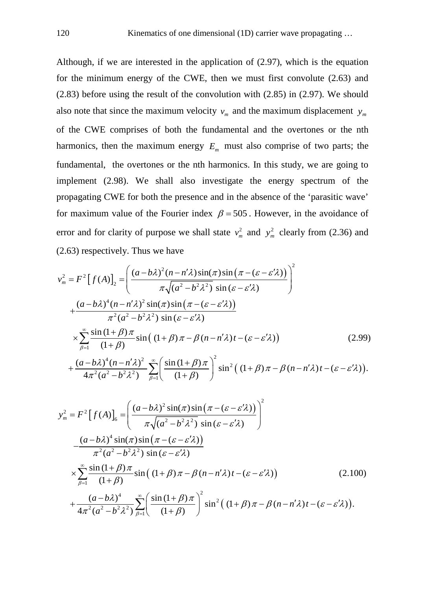Although, if we are interested in the application of (2.97), which is the equation for the minimum energy of the CWE, then we must first convolute (2.63) and (2.83) before using the result of the convolution with (2.85) in (2.97). We should also note that since the maximum velocity  $v_m$  and the maximum displacement  $y_m$ of the CWE comprises of both the fundamental and the overtones or the nth harmonics, then the maximum energy  $E_m$  must also comprise of two parts; the fundamental, the overtones or the nth harmonics. In this study, we are going to implement (2.98). We shall also investigate the energy spectrum of the propagating CWE for both the presence and in the absence of the 'parasitic wave' for maximum value of the Fourier index  $\beta = 505$ . However, in the avoidance of error and for clarity of purpose we shall state  $v_m^2$  and  $y_m^2$  clearly from (2.36) and (2.63) respectively. Thus we have

$$
v_m^2 = F^2 \left[ f(A) \right]_2 = \left( \frac{(a - b\lambda)^2 (n - n'\lambda) \sin(\pi) \sin(\pi - (\varepsilon - \varepsilon'\lambda))}{\pi \sqrt{(a^2 - b^2 \lambda^2)} \sin(\varepsilon - \varepsilon'\lambda)} \right)^2
$$
  
+ 
$$
\frac{(a - b\lambda)^4 (n - n'\lambda)^2 \sin(\pi) \sin(\pi - (\varepsilon - \varepsilon'\lambda))}{\pi^2 (a^2 - b^2 \lambda^2) \sin(\varepsilon - \varepsilon'\lambda)}
$$
  

$$
\times \sum_{\beta=1}^{\infty} \frac{\sin(1 + \beta) \pi}{(1 + \beta)} \sin((1 + \beta) \pi - \beta (n - n'\lambda)t - (\varepsilon - \varepsilon'\lambda))
$$
  
+ 
$$
\frac{(a - b\lambda)^4 (n - n'\lambda)^2}{4\pi^2 (a^2 - b^2 \lambda^2)} \sum_{\beta=1}^{\infty} \left( \frac{\sin(1 + \beta) \pi}{(1 + \beta)} \right)^2 \sin^2((1 + \beta) \pi - \beta (n - n'\lambda)t - (\varepsilon - \varepsilon'\lambda)).
$$
 (2.99)

$$
y_{m}^{2} = F^{2} [f(A)]_{6} = \left( \frac{(a-b\lambda)^{2} \sin(\pi) \sin(\pi - (\varepsilon - \varepsilon'\lambda))}{\pi \sqrt{(a^{2} - b^{2}\lambda^{2})} \sin(\varepsilon - \varepsilon'\lambda)} \right)^{2}
$$

$$
-\frac{(a-b\lambda)^{4} \sin(\pi) \sin(\pi - (\varepsilon - \varepsilon'\lambda))}{\pi^{2} (a^{2} - b^{2}\lambda^{2}) \sin(\varepsilon - \varepsilon'\lambda)}
$$

$$
\times \sum_{\beta=1}^{\infty} \frac{\sin(1+\beta)\pi}{(1+\beta)} \sin((1+\beta)\pi - \beta(n-n'\lambda)t - (\varepsilon - \varepsilon'\lambda)) \qquad (2.100)
$$

$$
+\frac{(a-b\lambda)^{4}}{4\pi^{2} (a^{2} - b^{2}\lambda^{2})} \sum_{\beta=1}^{\infty} \left( \frac{\sin(1+\beta)\pi}{(1+\beta)} \right)^{2} \sin^{2}((1+\beta)\pi - \beta(n-n'\lambda)t - (\varepsilon - \varepsilon'\lambda)).
$$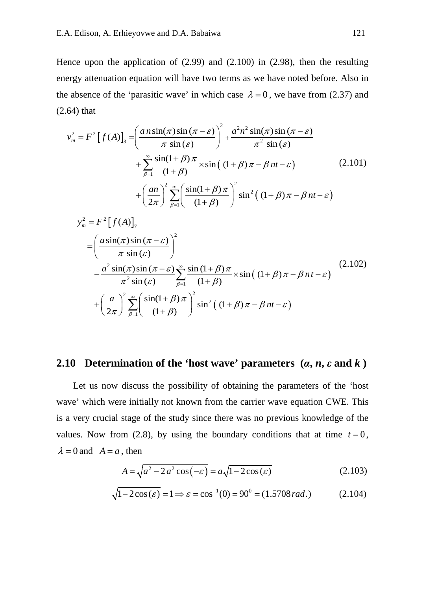Hence upon the application of  $(2.99)$  and  $(2.100)$  in  $(2.98)$ , then the resulting energy attenuation equation will have two terms as we have noted before. Also in the absence of the 'parasitic wave' in which case  $\lambda = 0$ , we have from (2.37) and (2.64) that

$$
v_m^2 = F^2 [f(A)]_3 = \left(\frac{a n \sin(\pi) \sin(\pi - \varepsilon)}{\pi \sin(\varepsilon)}\right)^2 + \frac{a^2 n^2 \sin(\pi) \sin(\pi - \varepsilon)}{\pi^2 \sin(\varepsilon)}
$$
  
+ 
$$
\sum_{\beta=1}^{\infty} \frac{\sin(1+\beta) \pi}{(1+\beta)} \times \sin((1+\beta) \pi - \beta n t - \varepsilon)
$$
(2.101)  
+ 
$$
\left(\frac{an}{2\pi}\right)^2 \sum_{\beta=1}^{\infty} \left(\frac{\sin(1+\beta) \pi}{(1+\beta)}\right)^2 \sin^2((1+\beta) \pi - \beta n t - \varepsilon)
$$

$$
y_{m}^{2} = F^{2} [f(A)]_{7}
$$
  
=  $\left( \frac{a \sin(\pi) \sin(\pi - \varepsilon)}{\pi \sin(\varepsilon)} \right)^{2}$   

$$
- \frac{a^{2} \sin(\pi) \sin(\pi - \varepsilon)}{\pi^{2} \sin(\varepsilon)} \sum_{\beta=1}^{\infty} \frac{\sin(1+\beta)\pi}{(1+\beta)} \times \sin((1+\beta)\pi - \beta nt - \varepsilon)
$$
(2.102)  
+  $\left( \frac{a}{2\pi} \right)^{2} \sum_{\beta=1}^{\infty} \left( \frac{\sin(1+\beta)\pi}{(1+\beta)} \right)^{2} \sin^{2}((1+\beta)\pi - \beta nt - \varepsilon)$ 

#### **2.10 Determination of the 'host wave' parameters**  $(a, n, \varepsilon \text{ and } k)$

Let us now discuss the possibility of obtaining the parameters of the 'host wave' which were initially not known from the carrier wave equation CWE. This is a very crucial stage of the study since there was no previous knowledge of the values. Now from (2.8), by using the boundary conditions that at time  $t = 0$ ,  $\lambda = 0$  and  $A = a$ , then

$$
A = \sqrt{a^2 - 2a^2 \cos(-\varepsilon)} = a\sqrt{1 - 2\cos(\varepsilon)}\tag{2.103}
$$

$$
\sqrt{1 - 2\cos(\varepsilon)} = 1 \Rightarrow \varepsilon = \cos^{-1}(0) = 90^0 = (1.5708 \, rad.) \tag{2.104}
$$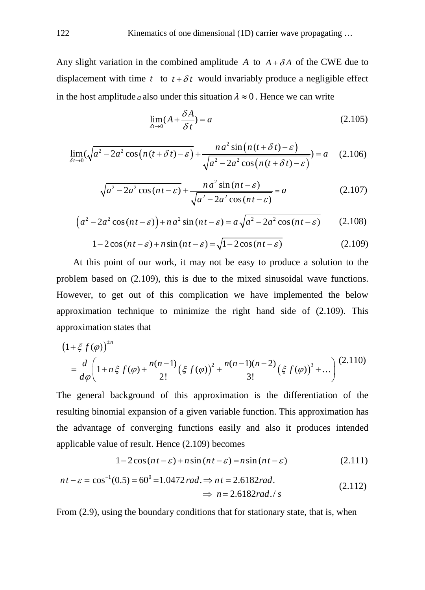Any slight variation in the combined amplitude A to  $A + \delta A$  of the CWE due to displacement with time  $t$  to  $t + \delta t$  would invariably produce a negligible effect in the host amplitude *a* also under this situation  $\lambda \approx 0$ . Hence we can write

$$
\lim_{\delta t \to 0} (A + \frac{\delta A}{\delta t}) = a \tag{2.105}
$$

$$
\lim_{\delta t \to 0} (\sqrt{a^2 - 2a^2 \cos\left(n\left(t + \delta t\right) - \varepsilon\right)} + \frac{n a^2 \sin\left(n\left(t + \delta t\right) - \varepsilon\right)}{\sqrt{a^2 - 2a^2 \cos\left(n\left(t + \delta t\right) - \varepsilon\right)}}) = a \quad (2.106)
$$

$$
\sqrt{a^2 - 2a^2 \cos(nt - \varepsilon)} + \frac{n a^2 \sin(nt - \varepsilon)}{\sqrt{a^2 - 2a^2 \cos(nt - \varepsilon)}} = a \tag{2.107}
$$

$$
(a2 - 2a2 cos(nt - \varepsilon)) + na2 sin(nt - \varepsilon) = a\sqrt{a2 - 2a2 cos(nt - \varepsilon)}
$$
 (2.108)

$$
1 - 2\cos(nt - \varepsilon) + n\sin(nt - \varepsilon) = \sqrt{1 - 2\cos(nt - \varepsilon)}
$$
\n(2.109)

At this point of our work, it may not be easy to produce a solution to the problem based on (2.109), this is due to the mixed sinusoidal wave functions. However, to get out of this complication we have implemented the below approximation technique to minimize the right hand side of (2.109). This approximation states that

$$
(1+\xi f(\varphi))^{1/n} = \frac{d}{d\varphi} \left(1 + n\xi f(\varphi) + \frac{n(n-1)}{2!} \left(\xi f(\varphi)\right)^2 + \frac{n(n-1)(n-2)}{3!} \left(\xi f(\varphi)\right)^3 + \dots\right) (2.110)
$$

The general background of this approximation is the differentiation of the resulting binomial expansion of a given variable function. This approximation has the advantage of converging functions easily and also it produces intended applicable value of result. Hence (2.109) becomes

$$
1 - 2\cos(nt - \varepsilon) + n\sin(nt - \varepsilon) = n\sin(nt - \varepsilon)
$$
\n(2.111)

$$
nt - \varepsilon = \cos^{-1}(0.5) = 60^{\circ} = 1.0472 \text{ rad.} \Rightarrow nt = 2.6182 \text{ rad.}
$$
  

$$
\Rightarrow n = 2.6182 \text{ rad.} / s
$$
 (2.112)

From  $(2.9)$ , using the boundary conditions that for stationary state, that is, when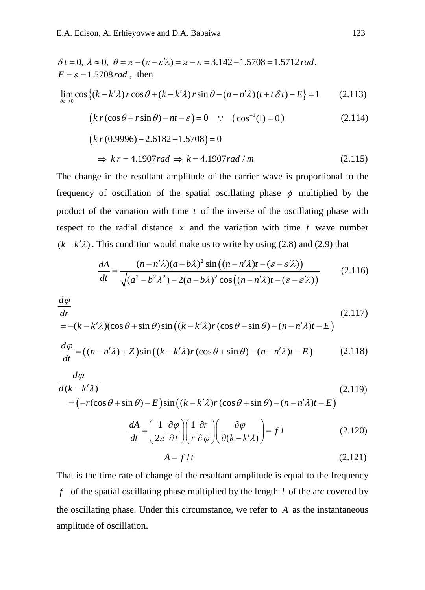$$
\delta t = 0, \ \lambda \approx 0, \ \theta = \pi - (\varepsilon - \varepsilon' \lambda) = \pi - \varepsilon = 3.142 - 1.5708 = 1.5712 \, rad,
$$
  
\n
$$
E = \varepsilon = 1.5708 \, rad \ , \text{ then}
$$
  
\n
$$
\lim_{\delta t \to 0} \cos \{(k - k' \lambda) r \cos \theta + (k - k' \lambda) r \sin \theta - (n - n' \lambda)(t + t \delta t) - E\} = 1
$$
 (2.113)  
\n
$$
(k r (\cos \theta + r \sin \theta) - nt - \varepsilon) = 0 \ \because \ (\cos^{-1}(1) = 0)
$$
 (2.114)  
\n
$$
(k r (0.9996) - 2.6182 - 1.5708) = 0
$$
  
\n
$$
\Rightarrow k r = 4.1907 \, rad \Rightarrow k = 4.1907 \, rad / m
$$
 (2.115)

The change in the resultant amplitude of the carrier wave is proportional to the frequency of oscillation of the spatial oscillating phase  $\phi$  multiplied by the product of the variation with time *t* of the inverse of the oscillating phase with respect to the radial distance  $x$  and the variation with time  $t$  wave number  $(k - k'\lambda)$ . This condition would make us to write by using (2.8) and (2.9) that

$$
\frac{dA}{dt} = \frac{(n - n'\lambda)(a - b\lambda)^2 \sin((n - n'\lambda)t - (\varepsilon - \varepsilon'\lambda))}{\sqrt{(a^2 - b^2\lambda^2) - 2(a - b\lambda)^2 \cos((n - n'\lambda)t - (\varepsilon - \varepsilon'\lambda))}}
$$
(2.116)

$$
\frac{d\varphi}{dr}
$$
\n
$$
= -(k - k'\lambda)(\cos\theta + \sin\theta)\sin\left((k - k'\lambda)r(\cos\theta + \sin\theta) - (n - n'\lambda)t - E\right)
$$
\n
$$
\frac{d\varphi}{dt} = ((n - n'\lambda) + Z)\sin\left((k - k'\lambda)r(\cos\theta + \sin\theta) - (n - n'\lambda)t - E\right)
$$
\n(2.118)

$$
\frac{d\varphi}{d(k - k'\lambda)}
$$
\n
$$
= (-r(\cos\theta + \sin\theta) - E)\sin((k - k'\lambda)r(\cos\theta + \sin\theta) - (n - n'\lambda)t - E)
$$
\n(2.119)

$$
\frac{dA}{dt} = \left(\frac{1}{2\pi} \frac{\partial \varphi}{\partial t}\right) \left(\frac{1}{r} \frac{\partial r}{\partial \varphi}\right) \left(\frac{\partial \varphi}{\partial (k - k'\lambda)}\right) = f l \tag{2.120}
$$

$$
A = f \, l \, t \tag{2.121}
$$

That is the time rate of change of the resultant amplitude is equal to the frequency *f* of the spatial oscillating phase multiplied by the length *l* of the arc covered by the oscillating phase. Under this circumstance, we refer to *A* as the instantaneous amplitude of oscillation.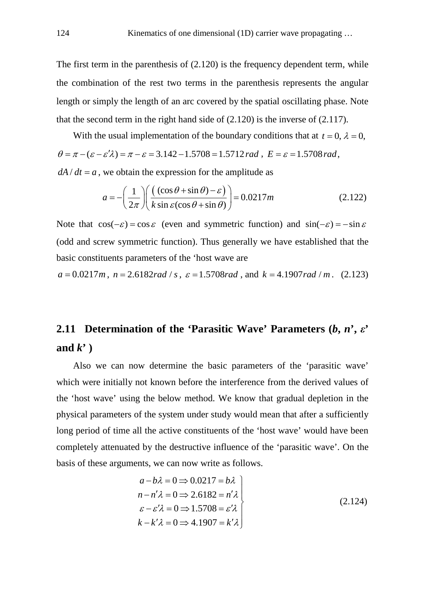The first term in the parenthesis of (2.120) is the frequency dependent term, while the combination of the rest two terms in the parenthesis represents the angular length or simply the length of an arc covered by the spatial oscillating phase. Note that the second term in the right hand side of (2.120) is the inverse of (2.117).

With the usual implementation of the boundary conditions that at  $t = 0$ ,  $\lambda = 0$ ,  $\theta = \pi - (\varepsilon - \varepsilon' \lambda) = \pi - \varepsilon = 3.142 - 1.5708 = 1.5712$  rad,  $E = \varepsilon = 1.5708$  rad,

 $dA/dt = a$ , we obtain the expression for the amplitude as

$$
a = -\left(\frac{1}{2\pi}\right) \left(\frac{(\cos\theta + \sin\theta) - \varepsilon}{k\sin\varepsilon(\cos\theta + \sin\theta)}\right) = 0.0217m
$$
 (2.122)

Note that  $cos(-\varepsilon) = cos \varepsilon$  (even and symmetric function) and  $sin(-\varepsilon) = -sin \varepsilon$ (odd and screw symmetric function). Thus generally we have established that the basic constituents parameters of the 'host wave are

$$
a = 0.0217m
$$
,  $n = 2.6182rad / s$ ,  $\varepsilon = 1.5708rad$ , and  $k = 4.1907rad / m$ . (2.123)

### **2.11 Determination of the 'Parasitic Wave' Parameters (***b***,** *n***',** *ε***' and** *k***' )**

Also we can now determine the basic parameters of the 'parasitic wave' which were initially not known before the interference from the derived values of the 'host wave' using the below method. We know that gradual depletion in the physical parameters of the system under study would mean that after a sufficiently long period of time all the active constituents of the 'host wave' would have been completely attenuated by the destructive influence of the 'parasitic wave'. On the basis of these arguments, we can now write as follows.

$$
a-b\lambda = 0 \Rightarrow 0.0217 = b\lambda
$$
  
\n
$$
n - n'\lambda = 0 \Rightarrow 2.6182 = n'\lambda
$$
  
\n
$$
\varepsilon - \varepsilon'\lambda = 0 \Rightarrow 1.5708 = \varepsilon'\lambda
$$
  
\n
$$
k - k'\lambda = 0 \Rightarrow 4.1907 = k'\lambda
$$
\n(2.124)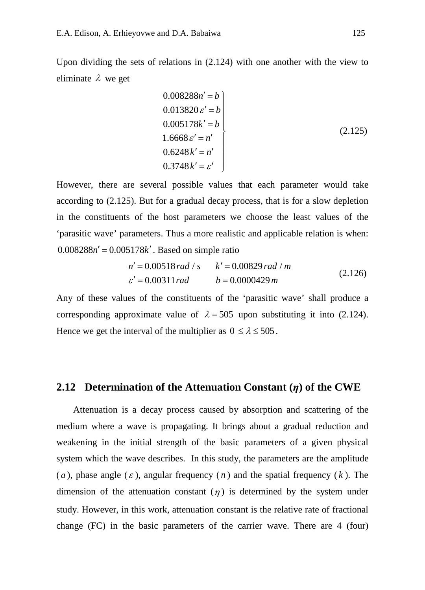Upon dividing the sets of relations in  $(2.124)$  with one another with the view to eliminate  $\lambda$  we get

$$
0.008288n' = b
$$
  
\n
$$
0.013820 \varepsilon' = b
$$
  
\n
$$
0.005178k' = b
$$
  
\n
$$
1.6668 \varepsilon' = n'
$$
  
\n
$$
0.6248k' = n'
$$
  
\n
$$
0.3748k' = \varepsilon'
$$
  
\n(2.125)

However, there are several possible values that each parameter would take according to (2.125). But for a gradual decay process, that is for a slow depletion in the constituents of the host parameters we choose the least values of the 'parasitic wave' parameters. Thus a more realistic and applicable relation is when:  $0.008288 n' = 0.005178 k'$ . Based on simple ratio

$$
n' = 0.00518 rad / s \qquad k' = 0.00829 rad / m
$$
  
\n
$$
\varepsilon' = 0.00311 rad \qquad b = 0.0000429 m
$$
 (2.126)

Any of these values of the constituents of the 'parasitic wave' shall produce a corresponding approximate value of  $\lambda = 505$  upon substituting it into (2.124). Hence we get the interval of the multiplier as  $0 \le \lambda \le 505$ .

#### **2.12 Determination of the Attenuation Constant (***η***) of the CWE**

Attenuation is a decay process caused by absorption and scattering of the medium where a wave is propagating. It brings about a gradual reduction and weakening in the initial strength of the basic parameters of a given physical system which the wave describes. In this study, the parameters are the amplitude  $(a)$ , phase angle  $(\varepsilon)$ , angular frequency  $(n)$  and the spatial frequency  $(k)$ . The dimension of the attenuation constant  $(\eta)$  is determined by the system under study. However, in this work, attenuation constant is the relative rate of fractional change (FC) in the basic parameters of the carrier wave. There are 4 (four)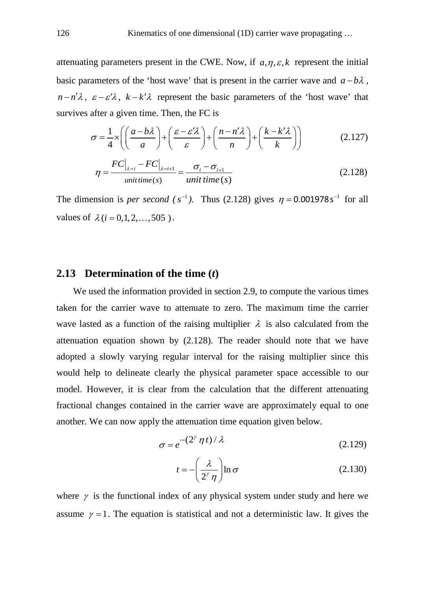attenuating parameters present in the CWE. Now, if  $a, \eta, \varepsilon, k$  represent the initial basic parameters of the 'host wave' that is present in the carrier wave and  $a - b\lambda$ ,  $n - n' \lambda$ ,  $\varepsilon - \varepsilon' \lambda$ ,  $k - k' \lambda$  represent the basic parameters of the 'host wave' that survives after a given time. Then, the FC is

$$
\sigma = \frac{1}{4} \times \left( \left( \frac{a - b\lambda}{a} \right) + \left( \frac{\varepsilon - \varepsilon'\lambda}{\varepsilon} \right) + \left( \frac{n - n'\lambda}{n} \right) + \left( \frac{k - k'\lambda}{k} \right) \right) \tag{2.127}
$$

$$
\eta = \frac{FC\big|_{\lambda=i} - FC\big|_{\lambda=i+1}}{\text{unit time}(s)} = \frac{\sigma_i - \sigma_{i+1}}{\text{unit time}(s)}\tag{2.128}
$$

The dimension is *per second* ( $s^{-1}$ ). Thus (2.128) gives  $\eta = 0.001978 s^{-1}$  for all values of  $\lambda$  (*i* = 0,1, 2, ..., 505).

#### **2.13 Determination of the time (***t***)**

We used the information provided in section 2.9, to compute the various times taken for the carrier wave to attenuate to zero. The maximum time the carrier wave lasted as a function of the raising multiplier  $\lambda$  is also calculated from the attenuation equation shown by (2.128). The reader should note that we have adopted a slowly varying regular interval for the raising multiplier since this would help to delineate clearly the physical parameter space accessible to our model. However, it is clear from the calculation that the different attenuating fractional changes contained in the carrier wave are approximately equal to one another. We can now apply the attenuation time equation given below.

$$
\sigma = e^{-(2^{\gamma} \eta t)/\lambda}
$$
 (2.129)

$$
t = -\left(\frac{\lambda}{2^{\gamma} \eta}\right) \ln \sigma \tag{2.130}
$$

where  $\gamma$  is the functional index of any physical system under study and here we assume  $\gamma = 1$ . The equation is statistical and not a deterministic law. It gives the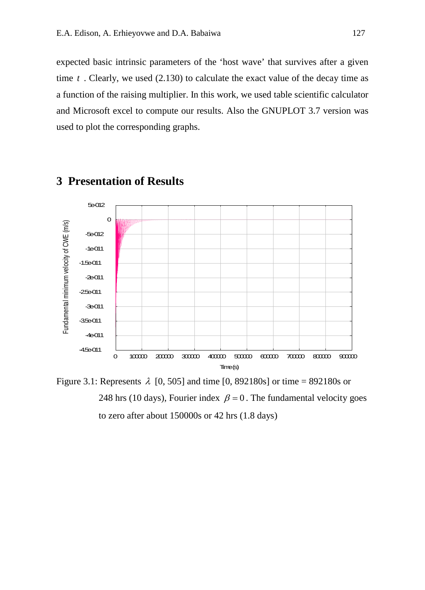expected basic intrinsic parameters of the 'host wave' that survives after a given time *t* . Clearly, we used (2.130) to calculate the exact value of the decay time as a function of the raising multiplier. In this work, we used table scientific calculator and Microsoft excel to compute our results. Also the GNUPLOT 3.7 version was used to plot the corresponding graphs.



### **3 Presentation of Results**

Figure 3.1: Represents  $\lambda$  [0, 505] and time [0, 892180s] or time = 892180s or 248 hrs (10 days), Fourier index  $\beta = 0$ . The fundamental velocity goes to zero after about 150000s or 42 hrs (1.8 days)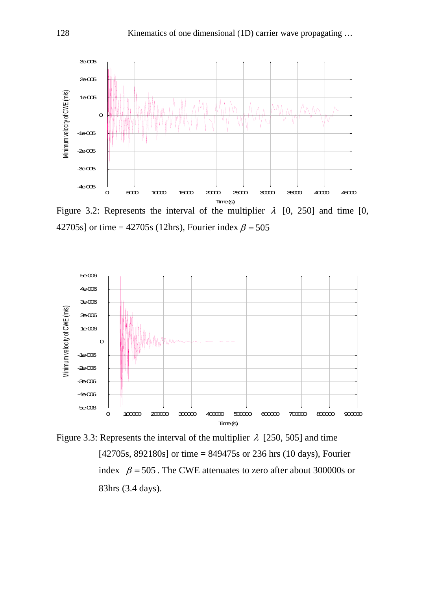

Figure 3.2: Represents the interval of the multiplier  $\lambda$  [0, 250] and time [0, 42705s] or time = 42705s (12hrs), Fourier index  $\beta$  = 505



Figure 3.3: Represents the interval of the multiplier  $\lambda$  [250, 505] and time [42705s, 892180s] or time = 849475s or 236 hrs (10 days), Fourier index  $\beta = 505$ . The CWE attenuates to zero after about 300000s or 83hrs (3.4 days).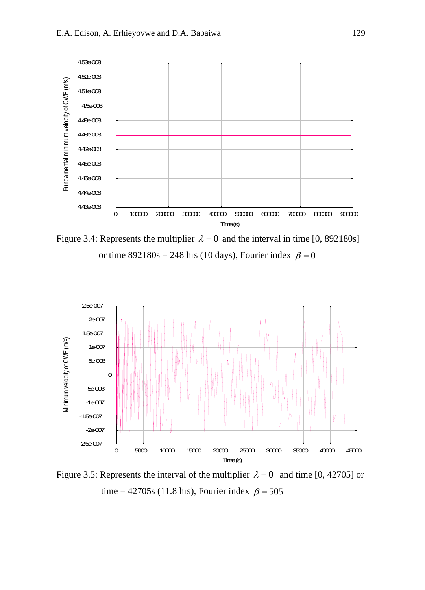

Figure 3.4: Represents the multiplier  $\lambda = 0$  and the interval in time [0, 892180s] or time  $892180s = 248$  hrs (10 days), Fourier index  $\beta = 0$ 



Figure 3.5: Represents the interval of the multiplier  $\lambda = 0$  and time [0, 42705] or time = 42705s (11.8 hrs), Fourier index  $\beta$  = 505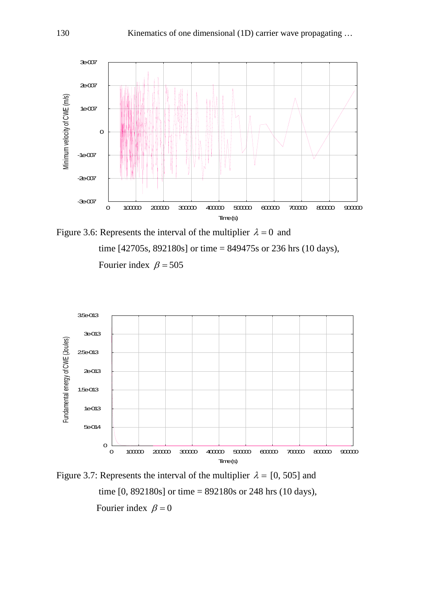

Figure 3.6: Represents the interval of the multiplier  $\lambda = 0$  and time [42705s, 892180s] or time = 849475s or 236 hrs (10 days), Fourier index  $\beta = 505$ 



Figure 3.7: Represents the interval of the multiplier  $\lambda = [0, 505]$  and time [0, 892180s] or time = 892180s or 248 hrs (10 days), Fourier index  $\beta = 0$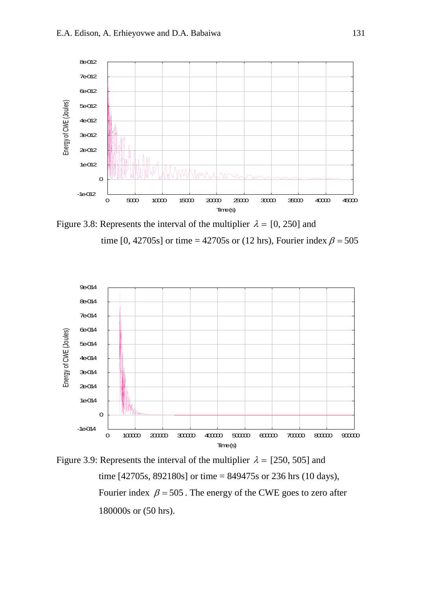

Figure 3.8: Represents the interval of the multiplier  $\lambda = [0, 250]$  and time [0, 42705s] or time = 42705s or (12 hrs), Fourier index  $\beta$  = 505



Figure 3.9: Represents the interval of the multiplier  $\lambda = [250, 505]$  and time [42705s, 892180s] or time = 849475s or 236 hrs (10 days), Fourier index  $\beta = 505$ . The energy of the CWE goes to zero after 180000s or (50 hrs).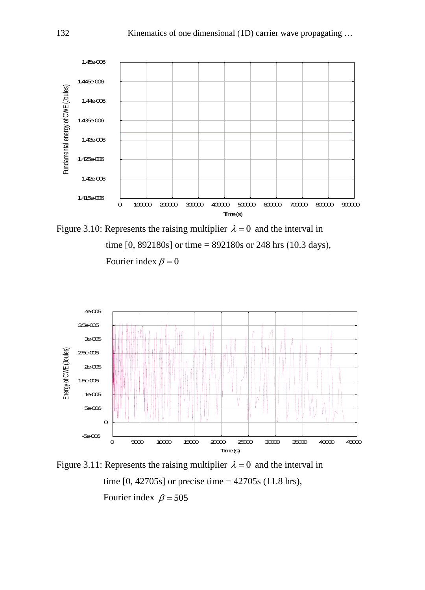

Figure 3.10: Represents the raising multiplier  $\lambda = 0$  and the interval in time [0, 892180s] or time = 892180s or 248 hrs (10.3 days), Fourier index  $\beta = 0$ 



Figure 3.11: Represents the raising multiplier  $\lambda = 0$  and the interval in time  $[0, 42705s]$  or precise time =  $42705s$  (11.8 hrs), Fourier index  $\beta = 505$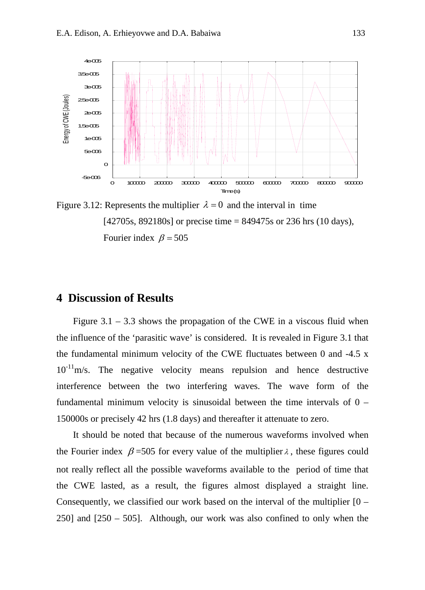

Figure 3.12: Represents the multiplier  $\lambda = 0$  and the interval in time [42705s, 892180s] or precise time = 849475s or 236 hrs (10 days), Fourier index  $\beta = 505$ 

#### **4 Discussion of Results**

Figure  $3.1 - 3.3$  shows the propagation of the CWE in a viscous fluid when the influence of the 'parasitic wave' is considered. It is revealed in Figure 3.1 that the fundamental minimum velocity of the CWE fluctuates between 0 and -4.5 x  $10^{-11}$ m/s. The negative velocity means repulsion and hence destructive interference between the two interfering waves. The wave form of the fundamental minimum velocity is sinusoidal between the time intervals of  $0 -$ 150000s or precisely 42 hrs (1.8 days) and thereafter it attenuate to zero.

It should be noted that because of the numerous waveforms involved when the Fourier index  $\beta$  =505 for every value of the multiplier  $\lambda$ , these figures could not really reflect all the possible waveforms available to the period of time that the CWE lasted, as a result, the figures almost displayed a straight line. Consequently, we classified our work based on the interval of the multiplier  $[0 -]$ 250] and [250 – 505]. Although, our work was also confined to only when the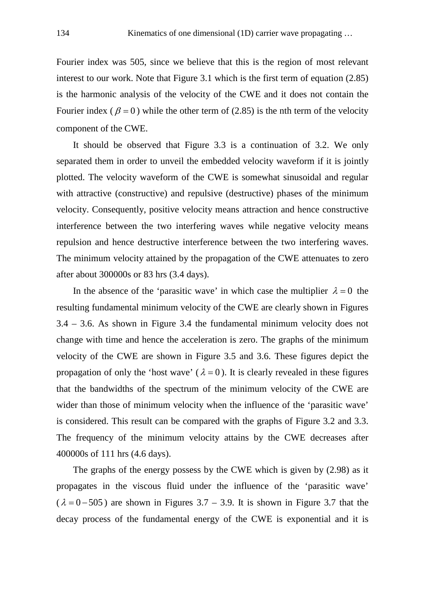Fourier index was 505, since we believe that this is the region of most relevant interest to our work. Note that Figure 3.1 which is the first term of equation (2.85) is the harmonic analysis of the velocity of the CWE and it does not contain the Fourier index ( $\beta = 0$ ) while the other term of (2.85) is the nth term of the velocity component of the CWE.

It should be observed that Figure 3.3 is a continuation of 3.2. We only separated them in order to unveil the embedded velocity waveform if it is jointly plotted. The velocity waveform of the CWE is somewhat sinusoidal and regular with attractive (constructive) and repulsive (destructive) phases of the minimum velocity. Consequently, positive velocity means attraction and hence constructive interference between the two interfering waves while negative velocity means repulsion and hence destructive interference between the two interfering waves. The minimum velocity attained by the propagation of the CWE attenuates to zero after about 300000s or 83 hrs (3.4 days).

In the absence of the 'parasitic wave' in which case the multiplier  $\lambda = 0$  the resulting fundamental minimum velocity of the CWE are clearly shown in Figures 3.4 – 3.6. As shown in Figure 3.4 the fundamental minimum velocity does not change with time and hence the acceleration is zero. The graphs of the minimum velocity of the CWE are shown in Figure 3.5 and 3.6. These figures depict the propagation of only the 'host wave' ( $\lambda = 0$ ). It is clearly revealed in these figures that the bandwidths of the spectrum of the minimum velocity of the CWE are wider than those of minimum velocity when the influence of the 'parasitic wave' is considered. This result can be compared with the graphs of Figure 3.2 and 3.3. The frequency of the minimum velocity attains by the CWE decreases after 400000s of 111 hrs (4.6 days).

The graphs of the energy possess by the CWE which is given by (2.98) as it propagates in the viscous fluid under the influence of the 'parasitic wave'  $(\lambda = 0 - 505)$  are shown in Figures 3.7 – 3.9. It is shown in Figure 3.7 that the decay process of the fundamental energy of the CWE is exponential and it is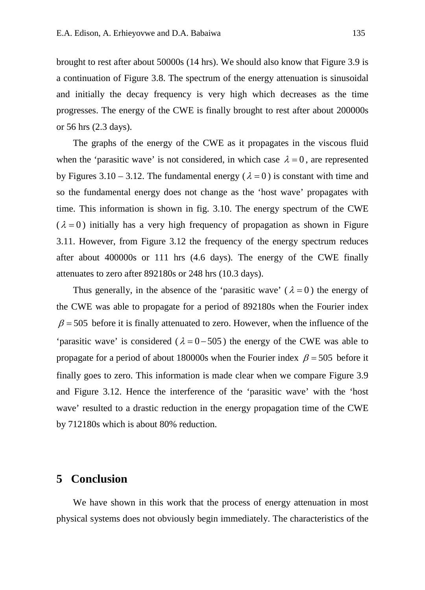brought to rest after about 50000s (14 hrs). We should also know that Figure 3.9 is a continuation of Figure 3.8. The spectrum of the energy attenuation is sinusoidal and initially the decay frequency is very high which decreases as the time progresses. The energy of the CWE is finally brought to rest after about 200000s or 56 hrs (2.3 days).

The graphs of the energy of the CWE as it propagates in the viscous fluid when the 'parasitic wave' is not considered, in which case  $\lambda = 0$ , are represented by Figures 3.10 – 3.12. The fundamental energy ( $\lambda = 0$ ) is constant with time and so the fundamental energy does not change as the 'host wave' propagates with time. This information is shown in fig. 3.10. The energy spectrum of the CWE  $(\lambda = 0)$  initially has a very high frequency of propagation as shown in Figure 3.11. However, from Figure 3.12 the frequency of the energy spectrum reduces after about 400000s or 111 hrs (4.6 days). The energy of the CWE finally attenuates to zero after 892180s or 248 hrs (10.3 days).

Thus generally, in the absence of the 'parasitic wave'  $(\lambda = 0)$  the energy of the CWE was able to propagate for a period of 892180s when the Fourier index  $\beta$  = 505 before it is finally attenuated to zero. However, when the influence of the 'parasitic wave' is considered ( $\lambda = 0 - 505$ ) the energy of the CWE was able to propagate for a period of about 180000s when the Fourier index  $\beta = 505$  before it finally goes to zero. This information is made clear when we compare Figure 3.9 and Figure 3.12. Hence the interference of the 'parasitic wave' with the 'host wave' resulted to a drastic reduction in the energy propagation time of the CWE by 712180s which is about 80% reduction.

### **5 Conclusion**

We have shown in this work that the process of energy attenuation in most physical systems does not obviously begin immediately. The characteristics of the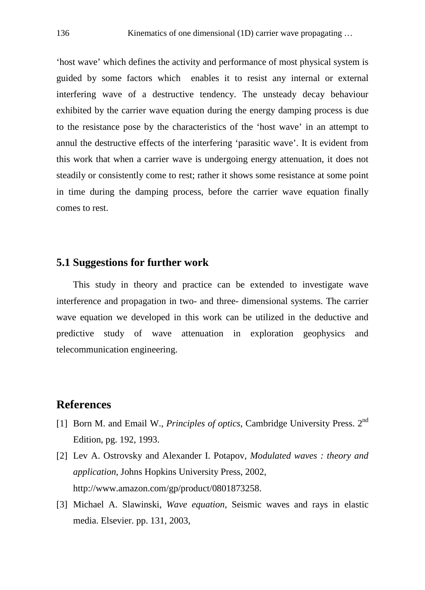'host wave' which defines the activity and performance of most physical system is guided by some factors which enables it to resist any internal or external interfering wave of a destructive tendency. The unsteady decay behaviour exhibited by the carrier wave equation during the energy damping process is due to the resistance pose by the characteristics of the 'host wave' in an attempt to annul the destructive effects of the interfering 'parasitic wave'. It is evident from this work that when a carrier wave is undergoing energy attenuation, it does not steadily or consistently come to rest; rather it shows some resistance at some point in time during the damping process, before the carrier wave equation finally comes to rest.

#### **5.1 Suggestions for further work**

This study in theory and practice can be extended to investigate wave interference and propagation in two- and three- dimensional systems. The carrier wave equation we developed in this work can be utilized in the deductive and predictive study of wave attenuation in exploration geophysics and telecommunication engineering.

### **References**

- [1] Born M. and Email W., *Principles of optics*, Cambridge University Press. 2nd Edition, pg. 192, 1993.
- [2] Lev A. Ostrovsky and Alexander I. Potapov, *Modulated waves : theory and application,* Johns Hopkins University Press, 2002, [http://www.amazon.com/gp/product/0801873258.](http://www.amazon.com/gp/product/0801873258)
- [3] Michael A. Slawinski, *Wave equation*, Seismic waves and rays in elastic media. Elsevier. pp. 131, 2003,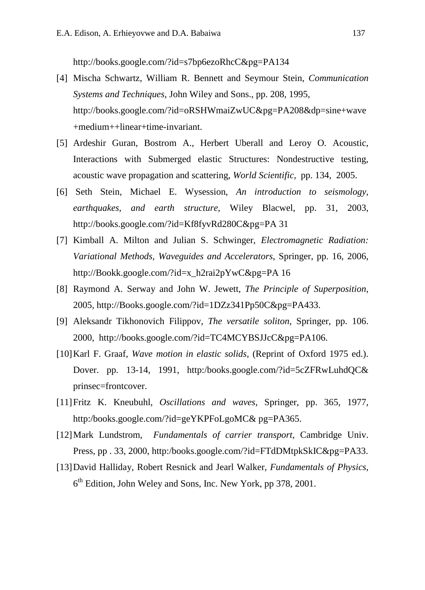<http://books.google.com/?id=s7bp6ezoRhcC&pg=PA134>

- [4] Mischa Schwartz, William R. Bennett and Seymour Stein, *Communication Systems and Techniques*, John Wiley and Sons., pp. 208, 1995, [http://books.google.com/?id=oRSHWmaiZwUC&pg=PA208&dp=sine+wave](http://books.google.com/?id=oRSHWmaiZwUC&pg=PA208&dp=sine+wave+medium++linear+time-invariant) [+medium++linear+time-invariant.](http://books.google.com/?id=oRSHWmaiZwUC&pg=PA208&dp=sine+wave+medium++linear+time-invariant)
- [5] Ardeshir Guran, Bostrom A., Herbert Uberall and Leroy O. Acoustic, Interactions with Submerged elastic Structures: Nondestructive testing, acoustic wave propagation and scattering, *World Scientific*, pp. 134, 2005.
- [6] Seth Stein, Michael E. Wysession, *An introduction to seismology, earthquakes, and earth structure*, Wiley Blacwel, pp. 31, 2003, <http://books.google.com/?id=Kf8fyvRd280C&pg=PA> 31
- [7] Kimball A. Milton and Julian S. Schwinger, *Electromagnetic Radiation: Variational Methods, Waveguides and Accelerators*, Springer, pp. 16, 2006, [http://Bookk.google.com/?id=x\\_h2rai2pYwC&pg=PA](http://bookk.google.com/?id=x_h2rai2pYwC&pg=PA) 16
- [8] Raymond A. Serway and John W. Jewett, *The Principle of Superposition*, 2005, http://Books.google.com/?id=1DZz341Pp50C&pg=PA433.
- [9] Aleksandr Tikhonovich Filippov, *The versatile soliton*, Springer, pp. 106. 2000, <http://books.google.com/?id=TC4MCYBSJJcC&pg=PA106.>
- [10]Karl F. Graaf, *Wave motion in elastic solids*, (Reprint of Oxford 1975 ed.). Dover. pp. 13-14, 1991, http:/books.google.com/?id=5cZFRwLuhdQC& prinsec=frontcover.
- [11]Fritz K. Kneubuhl, *Oscillations and waves*, Springer, pp. 365, 1977, http:/books.google.com/?id=geYKPFoLgoMC& pg=PA365.
- [12]Mark Lundstrom, *Fundamentals of carrier transport*, Cambridge Univ. Press, pp . 33, 2000, http:/books.google.com/?id=FTdDMtpkSkIC&pg=PA33.
- [13]David Halliday, Robert Resnick and Jearl Walker, *Fundamentals of Physics*, 6th Edition, John Weley and Sons, Inc. New York, pp 378, 2001.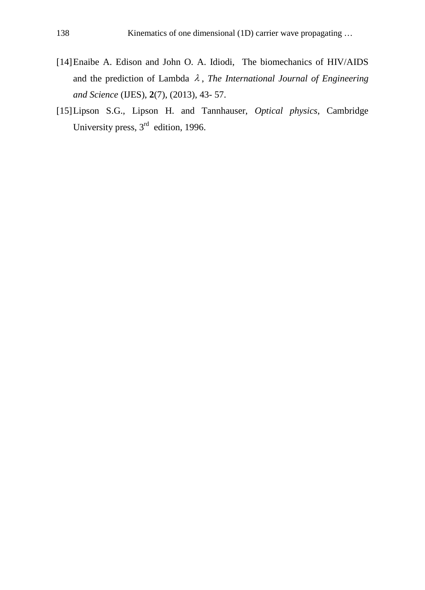- [14]Enaibe A. Edison and John O. A. Idiodi, The biomechanics of HIV/AIDS and the prediction of Lambda  $\lambda$ , *The International Journal of Engineering and Science* (IJES), **2**(7), (2013), 43- 57.
- [15]Lipson S.G., Lipson H. and Tannhauser, *Optical physics*, Cambridge University press, 3<sup>rd</sup> edition, 1996.